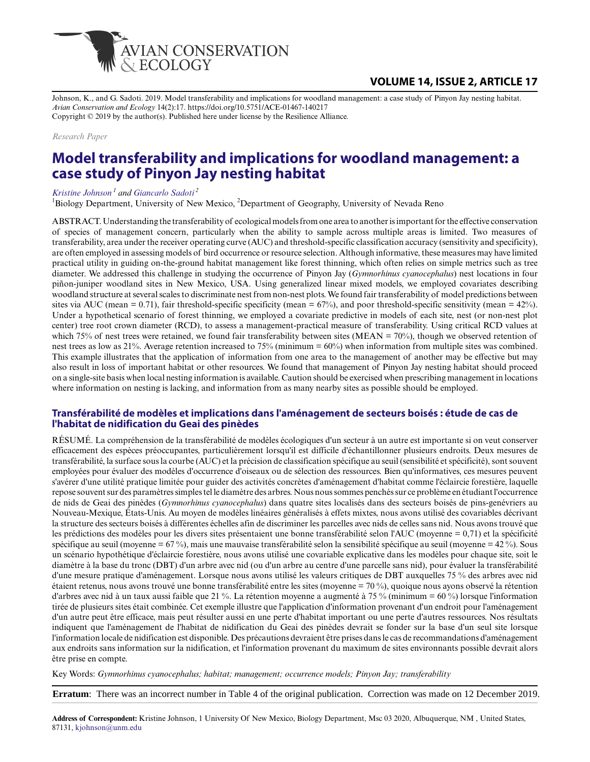

Johnson, K., and G. Sadoti. 2019. Model transferability and implications for woodland management: a case study of Pinyon Jay nesting habitat. *Avian Conservation and Ecology* 14(2):17. https://doi.org/10.5751/ACE-01467-140217 Copyright © 2019 by the author(s). Published here under license by the Resilience Alliance.

#### *Research Paper*

# **Model transferability and implications for woodland management: a case study of Pinyon Jay nesting habitat**

#### *[Kristine Johnson](mailto:kjohnson@unm.edu)<sup>1</sup> and [Giancarlo Sadoti](mailto:gcsadoti@gmail.com)<sup>2</sup>*

<sup>1</sup>Biology Department, University of New Mexico, <sup>2</sup>Department of Geography, University of Nevada Reno

ABSTRACT. Understanding the transferability of ecological models from one area to another is important for the effective conservation of species of management concern, particularly when the ability to sample across multiple areas is limited. Two measures of transferability, area under the receiver operating curve (AUC) and threshold-specific classification accuracy (sensitivity and specificity), are often employed in assessing models of bird occurrence or resource selection. Although informative, these measures may have limited practical utility in guiding on-the-ground habitat management like forest thinning, which often relies on simple metrics such as tree diameter. We addressed this challenge in studying the occurrence of Pinyon Jay (*Gymnorhinus cyanocephalus*) nest locations in four piñon-juniper woodland sites in New Mexico, USA. Using generalized linear mixed models, we employed covariates describing woodland structure at several scales to discriminate nest from non-nest plots. We found fair transferability of model predictions between sites via AUC (mean = 0.71), fair threshold-specific specificity (mean =  $67\%$ ), and poor threshold-specific sensitivity (mean =  $42\%$ ). Under a hypothetical scenario of forest thinning, we employed a covariate predictive in models of each site, nest (or non-nest plot center) tree root crown diameter (RCD), to assess a management-practical measure of transferability. Using critical RCD values at which 75% of nest trees were retained, we found fair transferability between sites (MEAN = 70%), though we observed retention of nest trees as low as 21%. Average retention increased to 75% (minimum = 60%) when information from multiple sites was combined. This example illustrates that the application of information from one area to the management of another may be effective but may also result in loss of important habitat or other resources. We found that management of Pinyon Jay nesting habitat should proceed on a single-site basis when local nesting information is available. Caution should be exercised when prescribing management in locations where information on nesting is lacking, and information from as many nearby sites as possible should be employed.

### **Transférabilité de modèles et implications dans l'aménagement de secteurs boisés : étude de cas de l'habitat de nidification du Geai des pinèdes**

RÉSUMÉ. La compréhension de la transférabilité de modèles écologiques d'un secteur à un autre est importante si on veut conserver efficacement des espèces préoccupantes, particulièrement lorsqu'il est difficile d'échantillonner plusieurs endroits. Deux mesures de transférabilité, la surface sous la courbe (AUC) et la précision de classification spécifique au seuil (sensibilité et spécificité), sont souvent employées pour évaluer des modèles d'occurrence d'oiseaux ou de sélection des ressources. Bien qu'informatives, ces mesures peuvent s'avérer d'une utilité pratique limitée pour guider des activités concrètes d'aménagement d'habitat comme l'éclaircie forestière, laquelle repose souvent sur des paramètres simples tel le diamètre des arbres. Nous nous sommes penchés sur ce problème en étudiant l'occurrence de nids de Geai des pinèdes (*Gymnorhinus cyanocephalus*) dans quatre sites localisés dans des secteurs boisés de pins-genévriers au Nouveau-Mexique, États-Unis. Au moyen de modèles linéaires généralisés à effets mixtes, nous avons utilisé des covariables décrivant la structure des secteurs boisés à différentes échelles afin de discriminer les parcelles avec nids de celles sans nid. Nous avons trouvé que les prédictions des modèles pour les divers sites présentaient une bonne transférabilité selon l'AUC (moyenne = 0,71) et la spécificité spécifique au seuil (moyenne = 67 %), mais une mauvaise transférabilité selon la sensibilité spécifique au seuil (moyenne = 42 %). Sous un scénario hypothétique d'éclaircie forestière, nous avons utilisé une covariable explicative dans les modèles pour chaque site, soit le diamètre à la base du tronc (DBT) d'un arbre avec nid (ou d'un arbre au centre d'une parcelle sans nid), pour évaluer la transférabilité d'une mesure pratique d'aménagement. Lorsque nous avons utilisé les valeurs critiques de DBT auxquelles 75 % des arbres avec nid étaient retenus, nous avons trouvé une bonne transférabilité entre les sites (moyenne = 70 %), quoique nous ayons observé la rétention d'arbres avec nid à un taux aussi faible que 21 %. La rétention moyenne a augmenté à 75 % (minimum = 60 %) lorsque l'information tirée de plusieurs sites était combinée. Cet exemple illustre que l'application d'information provenant d'un endroit pour l'aménagement d'un autre peut être efficace, mais peut résulter aussi en une perte d'habitat important ou une perte d'autres ressources. Nos résultats indiquent que l'aménagement de l'habitat de nidification du Geai des pinèdes devrait se fonder sur la base d'un seul site lorsque l'information locale de nidification est disponible. Des précautions devraient être prises dans le cas de recommandations d'aménagement aux endroits sans information sur la nidification, et l'information provenant du maximum de sites environnants possible devrait alors être prise en compte.

Key Words: *Gymnorhinus cyanocephalus; habitat; management; occurrence models; Pinyon Jay; transferability*

**Erratum**: There was an incorrect number in Table 4 of the original publication. Correction was made on 12 December 2019.

**Address of Correspondent:** Kristine Johnson, 1 University Of New Mexico, Biology Department, Msc 03 2020, Albuquerque, NM , United States, 87131, [kjohnson@unm.edu](mailto:kjohnson@unm.edu)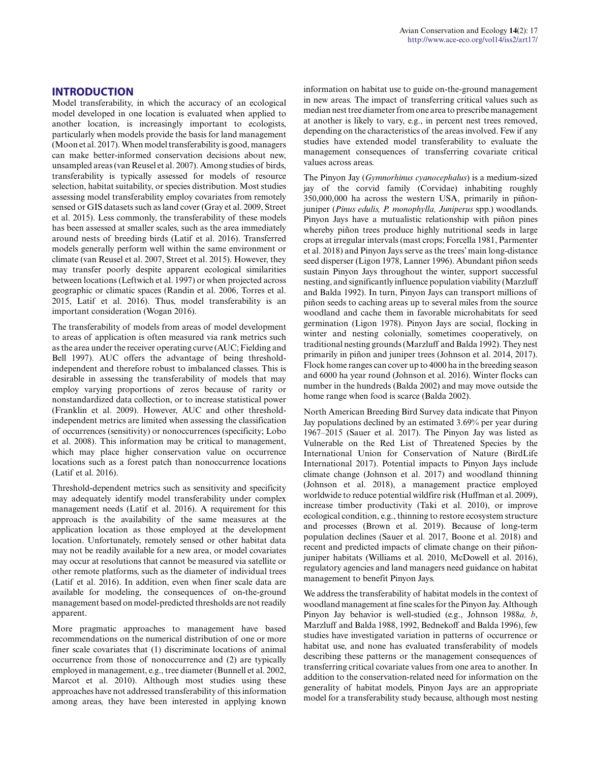### **INTRODUCTION**

Model transferability, in which the accuracy of an ecological model developed in one location is evaluated when applied to another location, is increasingly important to ecologists, particularly when models provide the basis for land management (Moon et al. 2017). When model transferability is good, managers can make better-informed conservation decisions about new, unsampled areas (van Reusel et al. 2007). Among studies of birds, transferability is typically assessed for models of resource selection, habitat suitability, or species distribution. Most studies assessing model transferability employ covariates from remotely sensed or GIS datasets such as land cover (Gray et al. 2009, Street et al. 2015). Less commonly, the transferability of these models has been assessed at smaller scales, such as the area immediately around nests of breeding birds (Latif et al. 2016). Transferred models generally perform well within the same environment or climate (van Reusel et al. 2007, Street et al. 2015). However, they may transfer poorly despite apparent ecological similarities between locations (Leftwich et al. 1997) or when projected across geographic or climatic spaces (Randin et al. 2006, Torres et al. 2015, Latif et al. 2016). Thus, model transferability is an important consideration (Wogan 2016).

The transferability of models from areas of model development to areas of application is often measured via rank metrics such as the area under the receiver operating curve (AUC; Fielding and Bell 1997). AUC offers the advantage of being thresholdindependent and therefore robust to imbalanced classes. This is desirable in assessing the transferability of models that may employ varying proportions of zeros because of rarity or nonstandardized data collection, or to increase statistical power (Franklin et al. 2009). However, AUC and other thresholdindependent metrics are limited when assessing the classification of occurrences (sensitivity) or nonoccurrences (specificity; Lobo et al. 2008). This information may be critical to management, which may place higher conservation value on occurrence locations such as a forest patch than nonoccurrence locations (Latif et al. 2016).

Threshold-dependent metrics such as sensitivity and specificity may adequately identify model transferability under complex management needs (Latif et al. 2016). A requirement for this approach is the availability of the same measures at the application location as those employed at the development location. Unfortunately, remotely sensed or other habitat data may not be readily available for a new area, or model covariates may occur at resolutions that cannot be measured via satellite or other remote platforms, such as the diameter of individual trees (Latif et al. 2016). In addition, even when finer scale data are available for modeling, the consequences of on-the-ground management based on model-predicted thresholds are not readily apparent.

More pragmatic approaches to management have based recommendations on the numerical distribution of one or more finer scale covariates that (1) discriminate locations of animal occurrence from those of nonoccurrence and (2) are typically employed in management, e.g., tree diameter (Bunnell et al. 2002, Marcot et al. 2010). Although most studies using these approaches have not addressed transferability of this information among areas, they have been interested in applying known information on habitat use to guide on-the-ground management in new areas. The impact of transferring critical values such as median nest tree diameter from one area to prescribe management at another is likely to vary, e.g., in percent nest trees removed, depending on the characteristics of the areas involved. Few if any studies have extended model transferability to evaluate the management consequences of transferring covariate critical values across areas.

The Pinyon Jay (*Gymnorhinus cyanocephalus*) is a medium-sized jay of the corvid family (Corvidae) inhabiting roughly 350,000,000 ha across the western USA, primarily in piñonjuniper (*Pinus edulis, P. monophylla, Juniperus* spp.) woodlands. Pinyon Jays have a mutualistic relationship with piñon pines whereby piñon trees produce highly nutritional seeds in large crops at irregular intervals (mast crops; Forcella 1981, Parmenter et al. 2018) and Pinyon Jays serve as the trees' main long-distance seed disperser (Ligon 1978, Lanner 1996). Abundant piñon seeds sustain Pinyon Jays throughout the winter, support successful nesting, and significantly influence population viability (Marzluff and Balda 1992). In turn, Pinyon Jays can transport millions of piñon seeds to caching areas up to several miles from the source woodland and cache them in favorable microhabitats for seed germination (Ligon 1978). Pinyon Jays are social, flocking in winter and nesting colonially, sometimes cooperatively, on traditional nesting grounds (Marzluff and Balda 1992). They nest primarily in piñon and juniper trees (Johnson et al. 2014, 2017). Flock home ranges can cover up to 4000 ha in the breeding season and 6000 ha year round (Johnson et al. 2016). Winter flocks can number in the hundreds (Balda 2002) and may move outside the home range when food is scarce (Balda 2002).

North American Breeding Bird Survey data indicate that Pinyon Jay populations declined by an estimated 3.69% per year during 1967–2015 (Sauer et al. 2017). The Pinyon Jay was listed as Vulnerable on the Red List of Threatened Species by the International Union for Conservation of Nature (BirdLife International 2017). Potential impacts to Pinyon Jays include climate change (Johnson et al. 2017) and woodland thinning (Johnson et al. 2018), a management practice employed worldwide to reduce potential wildfire risk (Huffman et al. 2009), increase timber productivity (Taki et al. 2010), or improve ecological condition, e.g., thinning to restore ecosystem structure and processes (Brown et al. 2019). Because of long-term population declines (Sauer et al. 2017, Boone et al. 2018) and recent and predicted impacts of climate change on their piñonjuniper habitats (Williams et al. 2010, McDowell et al. 2016), regulatory agencies and land managers need guidance on habitat management to benefit Pinyon Jays.

We address the transferability of habitat models in the context of woodland management at fine scales for the Pinyon Jay. Although Pinyon Jay behavior is well-studied (e.g., Johnson 1988*a, b*, Marzluff and Balda 1988, 1992, Bednekoff and Balda 1996), few studies have investigated variation in patterns of occurrence or habitat use, and none has evaluated transferability of models describing these patterns or the management consequences of transferring critical covariate values from one area to another. In addition to the conservation-related need for information on the generality of habitat models, Pinyon Jays are an appropriate model for a transferability study because, although most nesting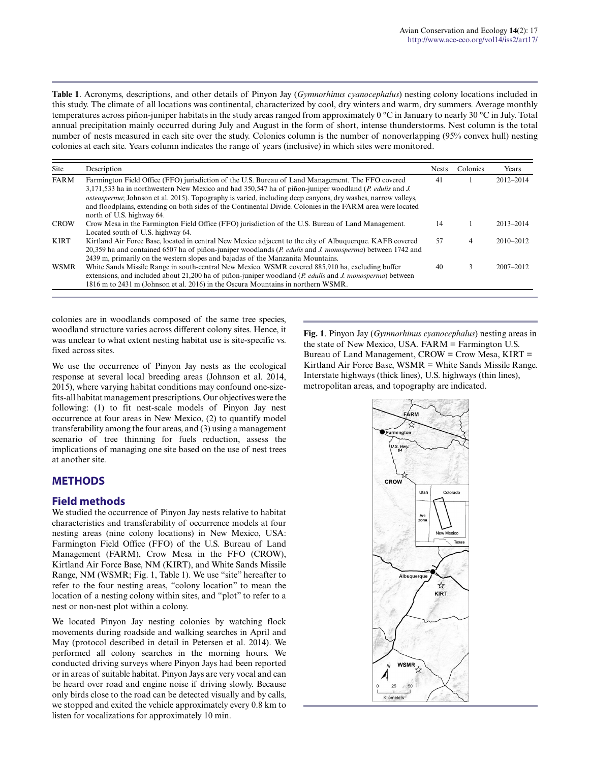**Table 1**. Acronyms, descriptions, and other details of Pinyon Jay (*Gymnorhinus cyanocephalus*) nesting colony locations included in this study. The climate of all locations was continental, characterized by cool, dry winters and warm, dry summers. Average monthly temperatures across piñon-juniper habitats in the study areas ranged from approximately 0 °C in January to nearly 30 °C in July. Total annual precipitation mainly occurred during July and August in the form of short, intense thunderstorms. Nest column is the total number of nests measured in each site over the study. Colonies column is the number of nonoverlapping (95% convex hull) nesting colonies at each site. Years column indicates the range of years (inclusive) in which sites were monitored.

| Site        | Description                                                                                                                                                                                                                                                                                                                                                                                                                                                                    | <b>Nests</b> | Colonies | Years         |
|-------------|--------------------------------------------------------------------------------------------------------------------------------------------------------------------------------------------------------------------------------------------------------------------------------------------------------------------------------------------------------------------------------------------------------------------------------------------------------------------------------|--------------|----------|---------------|
| <b>FARM</b> | Farmington Field Office (FFO) jurisdiction of the U.S. Bureau of Land Management. The FFO covered<br>3,171,533 ha in northwestern New Mexico and had 350,547 ha of piñon-juniper woodland (P. edulis and J.<br><i>osteosperma</i> ; Johnson et al. 2015). Topography is varied, including deep canyons, dry washes, narrow valleys,<br>and floodplains, extending on both sides of the Continental Divide. Colonies in the FARM area were located<br>north of U.S. highway 64. | 41           |          | 2012-2014     |
| <b>CROW</b> | Crow Mesa in the Farmington Field Office (FFO) jurisdiction of the U.S. Bureau of Land Management.<br>Located south of U.S. highway 64.                                                                                                                                                                                                                                                                                                                                        | 14           |          | 2013-2014     |
| <b>KIRT</b> | Kirtland Air Force Base, located in central New Mexico adjacent to the city of Albuquerque. KAFB covered<br>20,359 ha and contained 6507 ha of piñon-juniper woodlands (P. edulis and J. monosperma) between 1742 and<br>2439 m, primarily on the western slopes and bajadas of the Manzanita Mountains.                                                                                                                                                                       | 57           | 4        | $2010 - 2012$ |
| <b>WSMR</b> | White Sands Missile Range in south-central New Mexico. WSMR covered 885,910 ha, excluding buffer<br>extensions, and included about $21,200$ ha of piñon-juniper woodland ( <i>P. edulis</i> and <i>J. monosperma</i> ) between<br>1816 m to 2431 m (Johnson et al. 2016) in the Oscura Mountains in northern WSMR.                                                                                                                                                             | 40           | 3        | $2007 - 2012$ |

colonies are in woodlands composed of the same tree species, woodland structure varies across different colony sites. Hence, it was unclear to what extent nesting habitat use is site-specific vs. fixed across sites.

We use the occurrence of Pinyon Jay nests as the ecological response at several local breeding areas (Johnson et al. 2014, 2015), where varying habitat conditions may confound one-sizefits-all habitat management prescriptions. Our objectives were the following: (1) to fit nest-scale models of Pinyon Jay nest occurrence at four areas in New Mexico, (2) to quantify model transferability among the four areas, and (3) using a management scenario of tree thinning for fuels reduction, assess the implications of managing one site based on the use of nest trees at another site.

### **METHODS**

### **Field methods**

We studied the occurrence of Pinyon Jay nests relative to habitat characteristics and transferability of occurrence models at four nesting areas (nine colony locations) in New Mexico, USA: Farmington Field Office (FFO) of the U.S. Bureau of Land Management (FARM), Crow Mesa in the FFO (CROW), Kirtland Air Force Base, NM (KIRT), and White Sands Missile Range, NM (WSMR; Fig. 1, Table 1). We use "site" hereafter to refer to the four nesting areas, "colony location" to mean the location of a nesting colony within sites, and "plot" to refer to a nest or non-nest plot within a colony.

We located Pinyon Jay nesting colonies by watching flock movements during roadside and walking searches in April and May (protocol described in detail in Petersen et al. 2014). We performed all colony searches in the morning hours. We conducted driving surveys where Pinyon Jays had been reported or in areas of suitable habitat. Pinyon Jays are very vocal and can be heard over road and engine noise if driving slowly. Because only birds close to the road can be detected visually and by calls, we stopped and exited the vehicle approximately every 0.8 km to listen for vocalizations for approximately 10 min.

**Fig. 1**. Pinyon Jay (*Gymnorhinus cyanocephalus*) nesting areas in the state of New Mexico, USA. FARM = Farmington U.S. Bureau of Land Management,  $CROW = Crow$  Mesa,  $KIRT =$ Kirtland Air Force Base, WSMR = White Sands Missile Range. Interstate highways (thick lines), U.S. highways (thin lines), metropolitan areas, and topography are indicated.

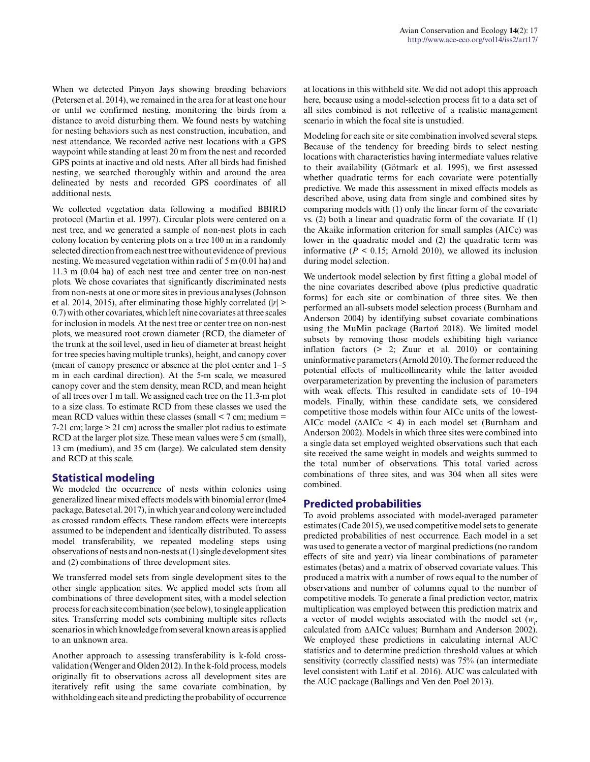When we detected Pinyon Jays showing breeding behaviors (Petersen et al. 2014), we remained in the area for at least one hour or until we confirmed nesting, monitoring the birds from a distance to avoid disturbing them. We found nests by watching for nesting behaviors such as nest construction, incubation, and nest attendance. We recorded active nest locations with a GPS waypoint while standing at least 20 m from the nest and recorded GPS points at inactive and old nests. After all birds had finished nesting, we searched thoroughly within and around the area delineated by nests and recorded GPS coordinates of all additional nests.

We collected vegetation data following a modified BBIRD protocol (Martin et al. 1997). Circular plots were centered on a nest tree, and we generated a sample of non-nest plots in each colony location by centering plots on a tree 100 m in a randomly selected direction from each nest tree without evidence of previous nesting. We measured vegetation within radii of 5 m (0.01 ha) and 11.3 m (0.04 ha) of each nest tree and center tree on non-nest plots. We chose covariates that significantly discriminated nests from non-nests at one or more sites in previous analyses (Johnson et al. 2014, 2015), after eliminating those highly correlated (|*r*| > 0.7) with other covariates, which left nine covariates at three scales for inclusion in models. At the nest tree or center tree on non-nest plots, we measured root crown diameter (RCD, the diameter of the trunk at the soil level, used in lieu of diameter at breast height for tree species having multiple trunks), height, and canopy cover (mean of canopy presence or absence at the plot center and 1–5 m in each cardinal direction). At the 5-m scale, we measured canopy cover and the stem density, mean RCD, and mean height of all trees over 1 m tall. We assigned each tree on the 11.3-m plot to a size class. To estimate RCD from these classes we used the mean RCD values within these classes (small  $\leq$  7 cm; medium  $=$ 7-21 cm; large > 21 cm) across the smaller plot radius to estimate RCD at the larger plot size. These mean values were 5 cm (small), 13 cm (medium), and 35 cm (large). We calculated stem density and RCD at this scale.

### **Statistical modeling**

We modeled the occurrence of nests within colonies using generalized linear mixed effects models with binomial error (lme4 package, Bates et al. 2017), in which year and colony were included as crossed random effects. These random effects were intercepts assumed to be independent and identically distributed. To assess model transferability, we repeated modeling steps using observations of nests and non-nests at (1) single development sites and (2) combinations of three development sites.

We transferred model sets from single development sites to the other single application sites. We applied model sets from all combinations of three development sites, with a model selection process for each site combination (see below), to single application sites. Transferring model sets combining multiple sites reflects scenarios in which knowledge from several known areas is applied to an unknown area.

Another approach to assessing transferability is k-fold crossvalidation (Wenger and Olden 2012). In the k-fold process, models originally fit to observations across all development sites are iteratively refit using the same covariate combination, by withholding each site and predicting the probability of occurrence at locations in this withheld site. We did not adopt this approach here, because using a model-selection process fit to a data set of all sites combined is not reflective of a realistic management scenario in which the focal site is unstudied.

Modeling for each site or site combination involved several steps. Because of the tendency for breeding birds to select nesting locations with characteristics having intermediate values relative to their availability (Götmark et al. 1995), we first assessed whether quadratic terms for each covariate were potentially predictive. We made this assessment in mixed effects models as described above, using data from single and combined sites by comparing models with (1) only the linear form of the covariate vs. (2) both a linear and quadratic form of the covariate. If (1) the Akaike information criterion for small samples (AICc) was lower in the quadratic model and (2) the quadratic term was informative ( $P < 0.15$ ; Arnold 2010), we allowed its inclusion during model selection.

We undertook model selection by first fitting a global model of the nine covariates described above (plus predictive quadratic forms) for each site or combination of three sites. We then performed an all-subsets model selection process (Burnham and Anderson 2004) by identifying subset covariate combinations using the MuMin package (Bartoń 2018). We limited model subsets by removing those models exhibiting high variance inflation factors (> 2; Zuur et al. 2010) or containing uninformative parameters (Arnold 2010). The former reduced the potential effects of multicollinearity while the latter avoided overparameterization by preventing the inclusion of parameters with weak effects. This resulted in candidate sets of 10–194 models. Finally, within these candidate sets, we considered competitive those models within four AICc units of the lowest-AICc model (ΔAICc < 4) in each model set (Burnham and Anderson 2002). Models in which three sites were combined into a single data set employed weighted observations such that each site received the same weight in models and weights summed to the total number of observations. This total varied across combinations of three sites, and was 304 when all sites were combined.

### **Predicted probabilities**

To avoid problems associated with model-averaged parameter estimates (Cade 2015), we used competitive model sets to generate predicted probabilities of nest occurrence. Each model in a set was used to generate a vector of marginal predictions (no random effects of site and year) via linear combinations of parameter estimates (betas) and a matrix of observed covariate values. This produced a matrix with a number of rows equal to the number of observations and number of columns equal to the number of competitive models. To generate a final prediction vector, matrix multiplication was employed between this prediction matrix and a vector of model weights associated with the model set  $(w_i)$ calculated from ΔAICc values; Burnham and Anderson 2002). We employed these predictions in calculating internal AUC statistics and to determine prediction threshold values at which sensitivity (correctly classified nests) was 75% (an intermediate level consistent with Latif et al. 2016). AUC was calculated with the AUC package (Ballings and Ven den Poel 2013).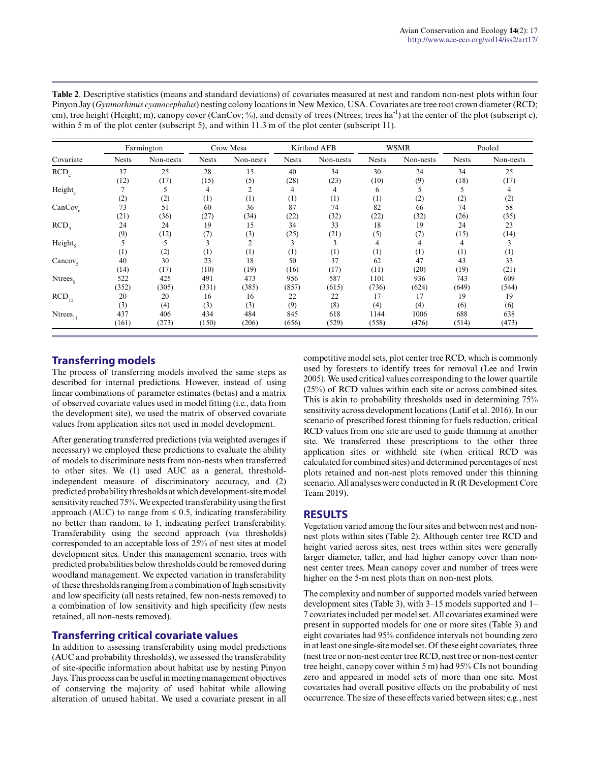| <b>Table 2.</b> Descriptive statistics (means and standard deviations) of covariates measured at nest and random non-nest plots within four             |
|---------------------------------------------------------------------------------------------------------------------------------------------------------|
| Pinyon Jay (Gymnorhinus cyanocephalus) nesting colony locations in New Mexico, USA. Covariates are tree root crown diameter (RCD;                       |
| cm), tree height (Height; m), canopy cover (CanCov; %), and density of trees (Ntrees; trees ha <sup>-1</sup> ) at the center of the plot (subscript c), |
| within 5 m of the plot center (subscript 5), and within 11.3 m of the plot center (subscript 11).                                                       |

| Covariate<br>$RCD_c$<br>Height<br>$CanCov_c$<br>RCD <sub>5</sub><br>Height <sub>5</sub> |              | Farmington |                     | Crow Mesa      |              | Kirtland AFB     |              | <b>WSMR</b> | Pooled       |           |  |
|-----------------------------------------------------------------------------------------|--------------|------------|---------------------|----------------|--------------|------------------|--------------|-------------|--------------|-----------|--|
|                                                                                         | <b>Nests</b> | Non-nests  | <b>Nests</b>        | Non-nests      | <b>Nests</b> | Non-nests        | <b>Nests</b> | Non-nests   | <b>Nests</b> | Non-nests |  |
|                                                                                         | 37           | 25         | 28                  | 15             | 40           | 34               | 30           | 24          | 34           | 25        |  |
|                                                                                         | (12)         | (17)       | (15)                | (5)            | (28)         | (23)             | (10)         | (9)         | (18)         | (17)      |  |
|                                                                                         |              |            | 4                   | 2              |              | 4                | 6            |             |              |           |  |
|                                                                                         | (2)          | (2)        | $\left(1\right)$    | (1)            | (1)          | (1)              | (1)          | (2)         | (2)          | (2)       |  |
|                                                                                         | 73           | 51         | 60                  | 36             | 87           | 74               | 82           | 66          | 74           | 58        |  |
|                                                                                         | (21)         | (36)       | (27)                | (34)           | (22)         | (32)             | (22)         | (32)        | (26)         | (35)      |  |
|                                                                                         | 24           | 24         | 19                  | 15             | 34           | 33               | 18           | 19          | 24           | 23        |  |
|                                                                                         | (9)          | (12)       | (7)                 | (3)            | (25)         | (21)             | (5)          | (7)         | (15)         | (14)      |  |
|                                                                                         |              |            | 3                   | $\overline{c}$ |              |                  | 4            |             | 4            |           |  |
|                                                                                         | (1)          | (2)        | $\scriptstyle{(1)}$ | (1)            | (1)          | $\left(1\right)$ | (1)          | (1)         | (1)          | (1)       |  |
| Cancov <sub>s</sub>                                                                     | 40           | 30         | 23                  | 18             | 50           | 37               | 62           | 47          | 43           | 33        |  |
|                                                                                         | (14)         | (17)       | (10)                | (19)           | (16)         | (17)             | (11)         | (20)        | (19)         | (21)      |  |
| $N$ trees <sub><math>c</math></sub>                                                     | 522          | 425        | 491                 | 473            | 956          | 587              | 1101         | 936         | 743          | 609       |  |
|                                                                                         | (352)        | (305)      | (331)               | (385)          | (857)        | (615)            | (736)        | (624)       | (649)        | (544)     |  |
| $RCD_{11}$                                                                              | 20           | 20         | 16                  | 16             | 22           | 22               | 17           | 17          | 19           | 19        |  |
|                                                                                         | (3)          | (4)        | (3)                 | (3)            | (9)          | (8)              | (4)          | (4)         | (6)          | (6)       |  |
| $N$ trees $_{11}$                                                                       | 437          | 406        | 434                 | 484            | 845          | 618              | 1144         | 1006        | 688          | 638       |  |
|                                                                                         | (161)        | (273)      | (150)               | (206)          | (656)        | (529)            | (558)        | (476)       | (514)        | (473)     |  |

### **Transferring models**

The process of transferring models involved the same steps as described for internal predictions. However, instead of using linear combinations of parameter estimates (betas) and a matrix of observed covariate values used in model fitting (i.e., data from the development site), we used the matrix of observed covariate values from application sites not used in model development.

After generating transferred predictions (via weighted averages if necessary) we employed these predictions to evaluate the ability of models to discriminate nests from non-nests when transferred to other sites. We (1) used AUC as a general, thresholdindependent measure of discriminatory accuracy, and (2) predicted probability thresholds at which development-site model sensitivity reached 75%. We expected transferability using the first approach (AUC) to range from  $\leq 0.5$ , indicating transferability no better than random, to 1, indicating perfect transferability. Transferability using the second approach (via thresholds) corresponded to an acceptable loss of 25% of nest sites at model development sites. Under this management scenario, trees with predicted probabilities below thresholds could be removed during woodland management. We expected variation in transferability of these thresholds ranging from a combination of high sensitivity and low specificity (all nests retained, few non-nests removed) to a combination of low sensitivity and high specificity (few nests retained, all non-nests removed).

### **Transferring critical covariate values**

In addition to assessing transferability using model predictions (AUC and probability thresholds), we assessed the transferability of site-specific information about habitat use by nesting Pinyon Jays. This process can be useful in meeting management objectives of conserving the majority of used habitat while allowing alteration of unused habitat. We used a covariate present in all competitive model sets, plot center tree RCD, which is commonly used by foresters to identify trees for removal (Lee and Irwin 2005). We used critical values corresponding to the lower quartile (25%) of RCD values within each site or across combined sites. This is akin to probability thresholds used in determining 75% sensitivity across development locations (Latif et al. 2016). In our scenario of prescribed forest thinning for fuels reduction, critical RCD values from one site are used to guide thinning at another site. We transferred these prescriptions to the other three application sites or withheld site (when critical RCD was calculated for combined sites) and determined percentages of nest plots retained and non-nest plots removed under this thinning scenario. All analyses were conducted in R (R Development Core Team 2019).

### **RESULTS**

Vegetation varied among the four sites and between nest and nonnest plots within sites (Table 2). Although center tree RCD and height varied across sites, nest trees within sites were generally larger diameter, taller, and had higher canopy cover than nonnest center trees. Mean canopy cover and number of trees were higher on the 5-m nest plots than on non-nest plots.

The complexity and number of supported models varied between development sites (Table 3), with 3–15 models supported and 1– 7 covariates included per model set. All covariates examined were present in supported models for one or more sites (Table 3) and eight covariates had 95% confidence intervals not bounding zero in at least one single-site model set. Of these eight covariates, three (nest tree or non-nest center tree RCD, nest tree or non-nest center tree height, canopy cover within 5 m) had 95% CIs not bounding zero and appeared in model sets of more than one site. Most covariates had overall positive effects on the probability of nest occurrence. The size of these effects varied between sites; e.g., nest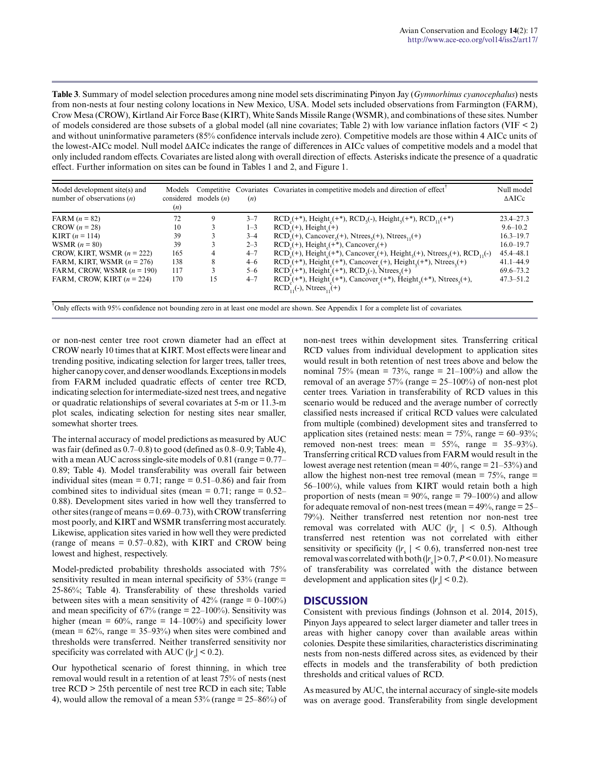**Table 3**. Summary of model selection procedures among nine model sets discriminating Pinyon Jay (*Gymnorhinus cyanocephalus*) nests from non-nests at four nesting colony locations in New Mexico, USA. Model sets included observations from Farmington (FARM), Crow Mesa (CROW), Kirtland Air Force Base (KIRT), White Sands Missile Range (WSMR), and combinations of these sites. Number of models considered are those subsets of a global model (all nine covariates; Table 2) with low variance inflation factors (VIF < 2) and without uninformative parameters (85% confidence intervals include zero). Competitive models are those within 4 AICc units of the lowest-AICc model. Null model ΔAICc indicates the range of differences in AICc values of competitive models and a model that only included random effects. Covariates are listed along with overall direction of effects. Asterisks indicate the presence of a quadratic effect. Further information on sites can be found in Tables 1 and 2, and Figure 1.

| Model development site(s) and<br>number of observations $(n)$ | Models<br>considered<br>(n) | Competitive<br>models $(n)$ | (n)     | Covariates Covariates in competitive models and direction of effect                                                                                               | Null model<br>$\triangle$ AICc |
|---------------------------------------------------------------|-----------------------------|-----------------------------|---------|-------------------------------------------------------------------------------------------------------------------------------------------------------------------|--------------------------------|
| $FARM (n = 82)$                                               | 72                          | 9                           | $3 - 7$ | $RCD_{1}(+^*)$ , Height <sub>1</sub> (+*), $RCD_{5}(+)$ , Height <sub>5</sub> (+*), $RCD_{11}(+^*)$                                                               | $23.4 - 27.3$                  |
| $CROW (n = 28)$                                               | 10                          |                             | $1 - 3$ | $RCDa(+)$ , Height <sub>a</sub> $(+)$                                                                                                                             | $9.6 - 10.2$                   |
| <b>KIRT</b> $(n = 114)$                                       | 39                          |                             | $3 - 4$ | $RCD_{s}(+)$ , Cancover <sub>s</sub> (+), Ntrees <sub>s</sub> (+), Ntrees <sub>11</sub> (+)                                                                       | $16.3 - 19.7$                  |
| WSMR $(n = 80)$                                               | 39                          |                             | $2 - 3$ | $RCD_{s}(+)$ , Height <sub>s</sub> $(+*)$ , Cancover <sub>s</sub> $(+)$                                                                                           | $16.0 - 19.7$                  |
| CROW, KIRT, WSMR $(n = 222)$                                  | 165                         | 4                           | $4 - 7$ | $RCD_{1}(+)$ , Height <sub>2</sub> (+*), Cancover <sub>2</sub> (+), Height <sub>5</sub> (+), Ntrees <sub>5</sub> (+), RCD <sub>11</sub> (-)                       | 45.4 48.1                      |
| FARM, KIRT, WSMR $(n = 276)$                                  | 138                         | 8                           | $4 - 6$ | $RCD_c$ (+*), Height <sub>c</sub> (+*), Cancover <sub>c</sub> (+), Height <sub>s</sub> (+*), Ntrees <sub>s</sub> (+)                                              | $41.1 - 44.9$                  |
| FARM, CROW, WSMR $(n = 190)$                                  | 117                         |                             | $5 - 6$ | $RCDs(+*)$ , Height <sub>e</sub> <sup>(+*)</sup> , RCD <sub>5</sub> (-), Ntrees <sub>5</sub> (+)                                                                  | $69.6 - 73.2$                  |
| FARM, CROW, KIRT $(n = 224)$                                  | 170                         | 15                          | $4 - 7$ | $RCDe(+*)$ , Height <sub>e</sub> (+*), Cancover <sub>e</sub> (+*), Height <sub>s</sub> (+*), Ntrees <sub>s</sub> (+),<br>$RCD_{11}(-)$ , Ntrees <sub>11</sub> (+) | $47.3 - 51.2$                  |

†Only effects with 95% confidence not bounding zero in at least one model are shown. See Appendix 1 for a complete list of covariates.

or non-nest center tree root crown diameter had an effect at CROW nearly 10 times that at KIRT. Most effects were linear and trending positive, indicating selection for larger trees, taller trees, higher canopy cover, and denser woodlands. Exceptions in models from FARM included quadratic effects of center tree RCD, indicating selection for intermediate-sized nest trees, and negative or quadratic relationships of several covariates at 5-m or 11.3-m plot scales, indicating selection for nesting sites near smaller, somewhat shorter trees.

The internal accuracy of model predictions as measured by AUC was fair (defined as 0.7–0.8) to good (defined as 0.8–0.9; Table 4), with a mean AUC across single-site models of  $0.81$  (range =  $0.77-$ 0.89; Table 4). Model transferability was overall fair between individual sites (mean =  $0.71$ ; range =  $0.51-0.86$ ) and fair from combined sites to individual sites (mean =  $0.71$ ; range =  $0.52-$ 0.88). Development sites varied in how well they transferred to other sites (range of means = 0.69–0.73), with CROW transferring most poorly, and KIRT and WSMR transferring most accurately. Likewise, application sites varied in how well they were predicted (range of means  $= 0.57{\text -}0.82$ ), with KIRT and CROW being lowest and highest, respectively.

Model-predicted probability thresholds associated with 75% sensitivity resulted in mean internal specificity of  $53\%$  (range = 25-86%; Table 4). Transferability of these thresholds varied between sites with a mean sensitivity of  $42\%$  (range =  $0-100\%$ ) and mean specificity of  $67\%$  (range =  $22-100\%$ ). Sensitivity was higher (mean =  $60\%$ , range =  $14$ – $100\%$ ) and specificity lower (mean =  $62\%$ , range =  $35-93\%$ ) when sites were combined and thresholds were transferred. Neither transferred sensitivity nor specificity was correlated with AUC ( $|r_s|$  < 0.2).

Our hypothetical scenario of forest thinning, in which tree removal would result in a retention of at least 75% of nests (nest tree RCD > 25th percentile of nest tree RCD in each site; Table 4), would allow the removal of a mean  $53\%$  (range =  $25-86\%$ ) of non-nest trees within development sites. Transferring critical RCD values from individual development to application sites would result in both retention of nest trees above and below the nominal 75% (mean = 73%, range =  $21-100%$ ) and allow the removal of an average 57% (range = 25–100%) of non-nest plot center trees. Variation in transferability of RCD values in this scenario would be reduced and the average number of correctly classified nests increased if critical RCD values were calculated from multiple (combined) development sites and transferred to application sites (retained nests: mean =  $75\%$ , range =  $60-93\%$ ; removed non-nest trees: mean =  $55\%$ , range =  $35-93\%$ ). Transferring critical RCD values from FARM would result in the lowest average nest retention (mean  $= 40\%$ , range  $= 21-53\%$ ) and allow the highest non-nest tree removal (mean =  $75\%$ , range = 56–100%), while values from KIRT would retain both a high proportion of nests (mean =  $90\%$ , range =  $79-100\%$ ) and allow for adequate removal of non-nest trees (mean  $= 49\%$ , range  $= 25-$ 79%). Neither transferred nest retention nor non-nest tree removal was correlated with AUC ( $|r_s| < 0.5$ ). Although transferred nest retention was not correlated with either sensitivity or specificity ( $|r_s| < 0.6$ ), transferred non-nest tree removal was correlated with both (|*r* s | > 0.7, *P* < 0.01). No measure of transferability was correlated with the distance between development and application sites ( $|r_s| < 0.2$ ).

#### **DISCUSSION**

Consistent with previous findings (Johnson et al. 2014, 2015), Pinyon Jays appeared to select larger diameter and taller trees in areas with higher canopy cover than available areas within colonies. Despite these similarities, characteristics discriminating nests from non-nests differed across sites, as evidenced by their effects in models and the transferability of both prediction thresholds and critical values of RCD.

As measured by AUC, the internal accuracy of single-site models was on average good. Transferability from single development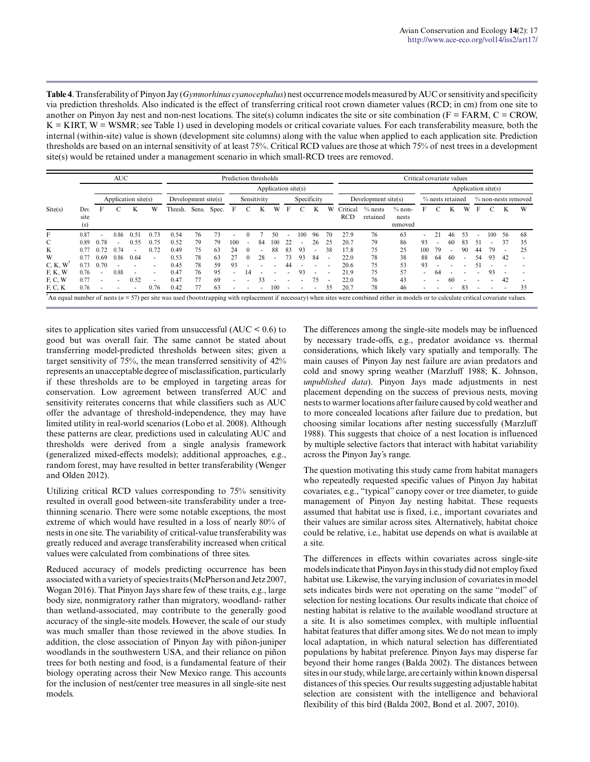**Table 4**. Transferability of Pinyon Jay (*Gymnorhinus cyanocephalus*) nest occurrence models measured by AUC or sensitivity and specificity via prediction thresholds. Also indicated is the effect of transferring critical root crown diameter values (RCD; in cm) from one site to another on Pinyon Jay nest and non-nest locations. The site(s) column indicates the site or site combination ( $F = FARM$ ,  $C = CROW$ ,  $K = KIRT$ ,  $W = WSMR$ ; see Table 1) used in developing models or critical covariate values. For each transferability measure, both the internal (within-site) value is shown (development site columns) along with the value when applied to each application site. Prediction thresholds are based on an internal sensitivity of at least 75%. Critical RCD values are those at which 75% of nest trees in a development site(s) would be retained under a management scenario in which small-RCD trees are removed.

|                  |                     |                          | <b>AUC</b>               |                     |                          |                     |       |       | Prediction thresholds |          |                          |                     |        |                          |                          |                          |                        |                       |                              | Critical covariate values |     |                  |    |    |                     |                          |                     |
|------------------|---------------------|--------------------------|--------------------------|---------------------|--------------------------|---------------------|-------|-------|-----------------------|----------|--------------------------|---------------------|--------|--------------------------|--------------------------|--------------------------|------------------------|-----------------------|------------------------------|---------------------------|-----|------------------|----|----|---------------------|--------------------------|---------------------|
|                  |                     |                          |                          |                     |                          |                     |       |       |                       |          |                          | Application site(s) |        |                          |                          |                          |                        |                       |                              |                           |     |                  |    |    | Application site(s) |                          |                     |
|                  |                     |                          |                          | Application site(s) |                          | Development site(s) |       |       |                       |          | Sensitivity              |                     |        | Specificity              |                          |                          |                        | Development site(s)   |                              |                           |     | % nests retained |    |    |                     |                          | % non-nests removed |
| $\text{Site}(s)$ | Dev.<br>site<br>(s) | F                        |                          | K                   | W                        | Thresh.             | Sens. | Spec. | F                     |          | K                        | W                   | F      |                          | K                        | W                        | Critical<br><b>RCD</b> | $%$ nests<br>retained | $%$ non-<br>nests<br>removed |                           |     |                  | w  | F  |                     | K                        | W                   |
| F                | 0.87                |                          | 0.86                     | 0.51                | 0.73                     | 0.54                | 76    | 73    |                       | 0        |                          | 50                  |        | 100                      | 96                       | 70                       | 27.9                   | 76                    | 63                           |                           |     | 46               | 53 |    | 100                 | 56                       | -68                 |
| C                | 0.89                | 0.78                     | $\overline{\phantom{a}}$ | 0.55                | 0.75                     | 0.52                | 79    | 79    | 100                   | ٠        | 84                       | 100                 | 22     |                          | 26                       | 25                       | 20.7                   | 79                    | 86                           | 93                        |     | 60               | 83 |    |                     | 37                       | 35                  |
| K                | 0.77                | 0.72                     | 0.74                     |                     | 0.72                     | 0.49                | 75    | 63    | 24                    | $\theta$ | $\overline{\phantom{a}}$ | 88                  | 83     | 93                       | $\overline{\phantom{a}}$ | 38                       | 17.8                   | 75                    | 25                           | 100                       | 79  |                  | 90 | 44 | 79                  |                          | 25                  |
| W                | 0.77                | 0.69                     | 0.86                     | 0.64                | $\overline{\phantom{a}}$ | 0.53                | 78    | 63    |                       | $\theta$ | 28                       |                     | 73     | 93                       | 84                       | $\overline{\phantom{a}}$ | 22.0                   | 78                    | 38                           | 88                        | -64 | -60              | ٠  | 54 | 93                  | 42                       |                     |
| C, K, W          | 0.73                | 0.70                     |                          |                     | $\overline{a}$           | 0.45                | 78    | 59    | 93                    |          |                          |                     |        |                          |                          |                          | 20.6                   | 75                    | 53                           | 93                        |     |                  |    |    |                     |                          |                     |
| $F$ , $K$ , $W$  | 0.76                |                          | 0.88                     |                     |                          | 0.47                | 76    | 95    |                       | 14       |                          |                     |        | 93                       |                          |                          | 21.9                   | 75                    | 57                           |                           | 64  |                  |    |    | 93                  |                          |                     |
| F, C, W          | 0.77                | $\overline{\phantom{a}}$ | $\overline{\phantom{a}}$ | 0.52                | $\overline{\phantom{a}}$ | 0.47                | 77    | 69    |                       |          | 33                       |                     |        |                          | 75                       | ٠                        | 22.0                   | 76                    | 43                           |                           |     | 60               |    |    |                     | 42                       |                     |
| F, C, K          | 0.76                |                          |                          |                     | 0.76                     | 0.42                | 77    | 63    |                       |          |                          | 100                 | $\sim$ | $\overline{\phantom{a}}$ | $\sim$                   | 35                       | 20.7                   | 78                    | 46                           |                           |     |                  | 83 | ٠  | $\sim$              | $\overline{\phantom{a}}$ | 35                  |

sites to application sites varied from unsuccessful  $(AUC < 0.6)$  to good but was overall fair. The same cannot be stated about transferring model-predicted thresholds between sites; given a target sensitivity of 75%, the mean transferred sensitivity of 42% represents an unacceptable degree of misclassification, particularly if these thresholds are to be employed in targeting areas for conservation. Low agreement between transferred AUC and sensitivity reiterates concerns that while classifiers such as AUC offer the advantage of threshold-independence, they may have limited utility in real-world scenarios (Lobo et al. 2008). Although these patterns are clear, predictions used in calculating AUC and thresholds were derived from a single analysis framework (generalized mixed-effects models); additional approaches, e.g., random forest, may have resulted in better transferability (Wenger and Olden 2012).

Utilizing critical RCD values corresponding to 75% sensitivity resulted in overall good between-site transferability under a treethinning scenario. There were some notable exceptions, the most extreme of which would have resulted in a loss of nearly 80% of nests in one site. The variability of critical-value transferability was greatly reduced and average transferability increased when critical values were calculated from combinations of three sites.

Reduced accuracy of models predicting occurrence has been associated with a variety of species traits (McPherson and Jetz 2007, Wogan 2016). That Pinyon Jays share few of these traits, e.g., large body size, nonmigratory rather than migratory, woodland- rather than wetland-associated, may contribute to the generally good accuracy of the single-site models. However, the scale of our study was much smaller than those reviewed in the above studies. In addition, the close association of Pinyon Jay with piñon-juniper woodlands in the southwestern USA, and their reliance on piñon trees for both nesting and food, is a fundamental feature of their biology operating across their New Mexico range. This accounts for the inclusion of nest/center tree measures in all single-site nest models.

The differences among the single-site models may be influenced by necessary trade-offs, e.g., predator avoidance vs. thermal considerations, which likely vary spatially and temporally. The main causes of Pinyon Jay nest failure are avian predators and cold and snowy spring weather (Marzluff 1988; K. Johnson, *unpublished data*). Pinyon Jays made adjustments in nest placement depending on the success of previous nests, moving nests to warmer locations after failure caused by cold weather and to more concealed locations after failure due to predation, but choosing similar locations after nesting successfully (Marzluff 1988). This suggests that choice of a nest location is influenced by multiple selective factors that interact with habitat variability across the Pinyon Jay's range.

The question motivating this study came from habitat managers who repeatedly requested specific values of Pinyon Jay habitat covariates, e.g., "typical" canopy cover or tree diameter, to guide management of Pinyon Jay nesting habitat. These requests assumed that habitat use is fixed, i.e., important covariates and their values are similar across sites. Alternatively, habitat choice could be relative, i.e., habitat use depends on what is available at a site.

The differences in effects within covariates across single-site models indicate that Pinyon Jays in this study did not employ fixed habitat use. Likewise, the varying inclusion of covariates in model sets indicates birds were not operating on the same "model" of selection for nesting locations. Our results indicate that choice of nesting habitat is relative to the available woodland structure at a site. It is also sometimes complex, with multiple influential habitat features that differ among sites. We do not mean to imply local adaptation, in which natural selection has differentiated populations by habitat preference. Pinyon Jays may disperse far beyond their home ranges (Balda 2002). The distances between sites in our study, while large, are certainly within known dispersal distances of this species. Our results suggesting adjustable habitat selection are consistent with the intelligence and behavioral flexibility of this bird (Balda 2002, Bond et al. 2007, 2010).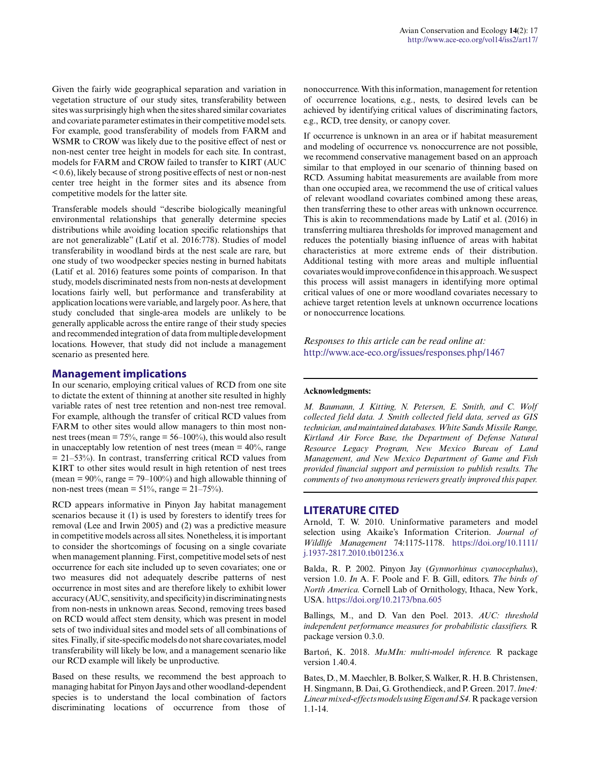Given the fairly wide geographical separation and variation in vegetation structure of our study sites, transferability between sites was surprisingly high when the sites shared similar covariates and covariate parameter estimates in their competitive model sets. For example, good transferability of models from FARM and WSMR to CROW was likely due to the positive effect of nest or non-nest center tree height in models for each site. In contrast, models for FARM and CROW failed to transfer to KIRT (AUC < 0.6), likely because of strong positive effects of nest or non-nest center tree height in the former sites and its absence from competitive models for the latter site.

Transferable models should "describe biologically meaningful environmental relationships that generally determine species distributions while avoiding location specific relationships that are not generalizable" (Latif et al. 2016:778). Studies of model transferability in woodland birds at the nest scale are rare, but one study of two woodpecker species nesting in burned habitats (Latif et al. 2016) features some points of comparison. In that study, models discriminated nests from non-nests at development locations fairly well, but performance and transferability at application locations were variable, and largely poor. As here, that study concluded that single-area models are unlikely to be generally applicable across the entire range of their study species and recommended integration of data from multiple development locations. However, that study did not include a management scenario as presented here.

### **Management implications**

In our scenario, employing critical values of RCD from one site to dictate the extent of thinning at another site resulted in highly variable rates of nest tree retention and non-nest tree removal. For example, although the transfer of critical RCD values from FARM to other sites would allow managers to thin most nonnest trees (mean =  $75\%$ , range =  $56-100\%$ ), this would also result in unacceptably low retention of nest trees (mean  $= 40\%$ , range = 21–53%). In contrast, transferring critical RCD values from KIRT to other sites would result in high retention of nest trees (mean =  $90\%$ , range =  $79-100\%$ ) and high allowable thinning of non-nest trees (mean =  $51\%$ , range =  $21-75\%$ ).

RCD appears informative in Pinyon Jay habitat management scenarios because it (1) is used by foresters to identify trees for removal (Lee and Irwin 2005) and (2) was a predictive measure in competitive models across all sites. Nonetheless, it is important to consider the shortcomings of focusing on a single covariate when management planning. First, competitive model sets of nest occurrence for each site included up to seven covariates; one or two measures did not adequately describe patterns of nest occurrence in most sites and are therefore likely to exhibit lower accuracy (AUC, sensitivity, and specificity) in discriminating nests from non-nests in unknown areas. Second, removing trees based on RCD would affect stem density, which was present in model sets of two individual sites and model sets of all combinations of sites. Finally, if site-specific models do not share covariates, model transferability will likely be low, and a management scenario like our RCD example will likely be unproductive.

Based on these results, we recommend the best approach to managing habitat for Pinyon Jays and other woodland-dependent species is to understand the local combination of factors discriminating locations of occurrence from those of nonoccurrence. With this information, management for retention of occurrence locations, e.g., nests, to desired levels can be achieved by identifying critical values of discriminating factors, e.g., RCD, tree density, or canopy cover.

If occurrence is unknown in an area or if habitat measurement and modeling of occurrence vs. nonoccurrence are not possible, we recommend conservative management based on an approach similar to that employed in our scenario of thinning based on RCD. Assuming habitat measurements are available from more than one occupied area, we recommend the use of critical values of relevant woodland covariates combined among these areas, then transferring these to other areas with unknown occurrence. This is akin to recommendations made by Latif et al. (2016) in transferring multiarea thresholds for improved management and reduces the potentially biasing influence of areas with habitat characteristics at more extreme ends of their distribution. Additional testing with more areas and multiple influential covariates would improve confidence in this approach. We suspect this process will assist managers in identifying more optimal critical values of one or more woodland covariates necessary to achieve target retention levels at unknown occurrence locations or nonoccurrence locations.

*Responses to this article can be read online at:* <http://www.ace-eco.org/issues/responses.php/1467>

#### **Acknowledgments:**

*M. Baumann, J. Kitting, N. Petersen, E. Smith, and C. Wolf collected field data. J. Smith collected field data, served as GIS technician, and maintained databases. White Sands Missile Range, Kirtland Air Force Base, the Department of Defense Natural Resource Legacy Program, New Mexico Bureau of Land Management, and New Mexico Department of Game and Fish provided financial support and permission to publish results. The comments of two anonymous reviewers greatly improved this paper.*

### **LITERATURE CITED**

Arnold, T. W. 2010. Uninformative parameters and model selection using Akaike's Information Criterion. *Journal of Wildlife Management* 74:1175-1178. [https://doi.org/10.1111/](https://doi.org/10.1111/j.1937-2817.2010.tb01236.x) [j.1937-2817.2010.tb01236.x](https://doi.org/10.1111/j.1937-2817.2010.tb01236.x)

Balda, R. P. 2002. Pinyon Jay (*Gymnorhinus cyanocephalus*), version 1.0. *In* A. F. Poole and F. B. Gill, editors. *The birds of North America.* Cornell Lab of Ornithology, Ithaca, New York, USA.<https://doi.org/10.2173/bna.605>

Ballings, M., and D. Van den Poel. 2013. *AUC: threshold independent performance measures for probabilistic classifiers.* R package version 0.3.0.

Bartoń, K. 2018. *MuMIn: multi-model inference.* R package version 1.40.4.

Bates, D., M. Maechler, B. Bolker, S. Walker, R. H. B. Christensen, H. Singmann, B. Dai, G. Grothendieck, and P. Green. 2017. *lme4: Linear mixed-effects models using Eigen and S4.* R package version 1.1-14.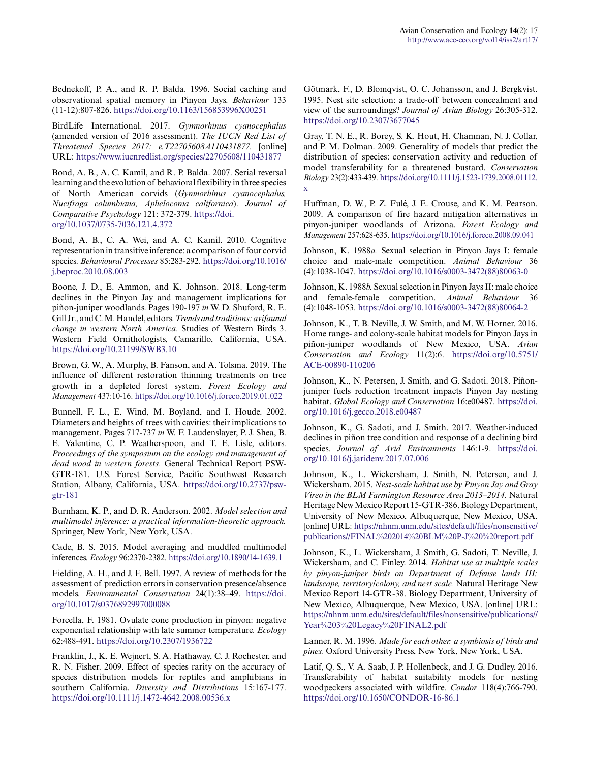Bednekoff, P. A., and R. P. Balda. 1996. Social caching and observational spatial memory in Pinyon Jays. *Behaviour* 133 (11-12):807-826.<https://doi.org/10.1163/156853996X00251>

BirdLife International. 2017. *Gymnorhinus cyanocephalus* (amended version of 2016 assessment). *The IUCN Red List of Threatened Species 2017: e.T22705608A110431877.* [online] URL:<https://www.iucnredlist.org/species/22705608/110431877>

Bond, A. B., A. C. Kamil, and R. P. Balda. 2007. Serial reversal learning and the evolution of behavioral flexibility in three species of North American corvids (*Gymnorhinus cyanocephalus, Nucifraga columbiana, Aphelocoma californica*). *Journal of Comparative Psychology* 121: 372-379. [https://doi.](https://doi.org/10.1037/0735-7036.121.4.372) [org/10.1037/0735-7036.121.4.372](https://doi.org/10.1037/0735-7036.121.4.372)

Bond, A. B., C. A. Wei, and A. C. Kamil. 2010. Cognitive representation in transitive inference: a comparison of four corvid species. *Behavioural Processes* 85:283-292. [https://doi.org/10.1016/](https://doi.org/10.1016/j.beproc.2010.08.003) [j.beproc.2010.08.003](https://doi.org/10.1016/j.beproc.2010.08.003) 

Boone, J. D., E. Ammon, and K. Johnson. 2018. Long-term declines in the Pinyon Jay and management implications for piñon-juniper woodlands. Pages 190-197 *in* W. D. Shuford, R. E. Gill Jr., and C. M. Handel, editors. *Trends and traditions: avifaunal change in western North America.* Studies of Western Birds 3. Western Field Ornithologists, Camarillo, California, USA. <https://doi.org/10.21199/SWB3.10>

Brown, G. W., A. Murphy, B. Fanson, and A. Tolsma. 2019. The influence of different restoration thinning treatments on tree growth in a depleted forest system. *Forest Ecology and Management* 437:10-16.<https://doi.org/10.1016/j.foreco.2019.01.022>

Bunnell, F. L., E. Wind, M. Boyland, and I. Houde. 2002. Diameters and heights of trees with cavities: their implications to management. Pages 717-737 *in* W. F. Laudenslayer, P. J. Shea, B. E. Valentine, C. P. Weatherspoon, and T. E. Lisle, editors. *Proceedings of the symposium on the ecology and management of dead wood in western forests.* General Technical Report PSW-GTR-181. U.S. Forest Service, Pacific Southwest Research Station, Albany, California, USA. [https://doi.org/10.2737/psw](https://doi.org/10.2737/psw-gtr-181)[gtr-181](https://doi.org/10.2737/psw-gtr-181)

Burnham, K. P., and D. R. Anderson. 2002. *Model selection and multimodel inference: a practical information-theoretic approach.* Springer, New York, New York, USA.

Cade, B. S. 2015. Model averaging and muddled multimodel inferences. *Ecology* 96:2370-2382.<https://doi.org/10.1890/14-1639.1>

Fielding, A. H., and J. F. Bell. 1997. A review of methods for the assessment of prediction errors in conservation presence/absence models. *Environmental Conservation* 24(1):38–49. [https://doi.](https://doi.org/10.1017/s0376892997000088) [org/10.1017/s0376892997000088](https://doi.org/10.1017/s0376892997000088) 

Forcella, F. 1981. Ovulate cone production in pinyon: negative exponential relationship with late summer temperature. *Ecology* 62:488-491.<https://doi.org/10.2307/1936722>

Franklin, J., K. E. Wejnert, S. A. Hathaway, C. J. Rochester, and R. N. Fisher. 2009. Effect of species rarity on the accuracy of species distribution models for reptiles and amphibians in southern California. *Diversity and Distributions* 15:167-177. <https://doi.org/10.1111/j.1472-4642.2008.00536.x>

Götmark, F., D. Blomqvist, O. C. Johansson, and J. Bergkvist. 1995. Nest site selection: a trade-off between concealment and view of the surroundings? *Journal of Avian Biology* 26:305-312. <https://doi.org/10.2307/3677045>

Gray, T. N. E., R. Borey, S. K. Hout, H. Chamnan, N. J. Collar, and P. M. Dolman. 2009. Generality of models that predict the distribution of species: conservation activity and reduction of model transferability for a threatened bustard. *Conservation Biology* 23(2):433-439. [https://doi.org/10.1111/j.1523-1739.2008.01112.](https://doi.org/10.1111/j.1523-1739.2008.01112.x) [x](https://doi.org/10.1111/j.1523-1739.2008.01112.x) 

Huffman, D. W., P. Z. Fulé, J. E. Crouse, and K. M. Pearson. 2009. A comparison of fire hazard mitigation alternatives in pinyon-juniper woodlands of Arizona. *Forest Ecology and Management* 257:628-635.<https://doi.org/10.1016/j.foreco.2008.09.041>

Johnson, K. 1988*a.* Sexual selection in Pinyon Jays I: female choice and male-male competition. *Animal Behaviour* 36 (4):1038-1047. [https://doi.org/10.1016/s0003-3472\(88\)80063-0](https://doi.org/10.1016/s0003-3472(88)80063-0) 

Johnson, K. 1988*b.* Sexual selection in Pinyon Jays II: male choice and female-female competition. *Animal Behaviour* 36 (4):1048-1053. [https://doi.org/10.1016/s0003-3472\(88\)80064-2](https://doi.org/10.1016/s0003-3472(88)80064-2) 

Johnson, K., T. B. Neville, J. W. Smith, and M. W. Horner. 2016. Home range- and colony-scale habitat models for Pinyon Jays in piñon-juniper woodlands of New Mexico, USA. *Avian Conservation and Ecology* 11(2):6. [https://doi.org/10.5751/](https://doi.org/10.5751/ACE-00890-110206) [ACE-00890-110206](https://doi.org/10.5751/ACE-00890-110206) 

Johnson, K., N. Petersen, J. Smith, and G. Sadoti. 2018. Piñonjuniper fuels reduction treatment impacts Pinyon Jay nesting habitat. *Global Ecology and Conservation* 16:e00487. [https://doi.](https://doi.org/10.1016/j.gecco.2018.e00487) [org/10.1016/j.gecco.2018.e00487](https://doi.org/10.1016/j.gecco.2018.e00487)

Johnson, K., G. Sadoti, and J. Smith. 2017. Weather-induced declines in piñon tree condition and response of a declining bird species. *Journal of Arid Environments* 146:1-9. [https://doi.](https://doi.org/10.1016/j.jaridenv.2017.07.006) [org/10.1016/j.jaridenv.2017.07.006](https://doi.org/10.1016/j.jaridenv.2017.07.006) 

Johnson, K., L. Wickersham, J. Smith, N. Petersen, and J. Wickersham. 2015. *Nest-scale habitat use by Pinyon Jay and Gray Vireo in the BLM Farmington Resource Area 2013–2014.* Natural Heritage New Mexico Report 15-GTR-386. Biology Department, University of New Mexico, Albuquerque, New Mexico, USA. [online] URL: [https://nhnm.unm.edu/sites/default/files/nonsensitive/](https://nhnm.unm.edu/sites/default/files/nonsensitive/publications//FINAL%202014%20BLM%20P-J%20%20report.pdf) [publications//FINAL%202014%20BLM%20P-J%20%20report.pdf](https://nhnm.unm.edu/sites/default/files/nonsensitive/publications//FINAL%202014%20BLM%20P-J%20%20report.pdf)

Johnson, K., L. Wickersham, J. Smith, G. Sadoti, T. Neville, J. Wickersham, and C. Finley. 2014. *Habitat use at multiple scales by pinyon-juniper birds on Department of Defense lands III: landscape, territory/colony, and nest scale.* Natural Heritage New Mexico Report 14-GTR-38. Biology Department, University of New Mexico, Albuquerque, New Mexico, USA. [online] URL: [https://nhnm.unm.edu/sites/default/files/nonsensitive/publications//](https://nhnm.unm.edu/sites/default/files/nonsensitive/publications//Year%203%20Legacy%20FINAL2.pdf) [Year%203%20Legacy%20FINAL2.pdf](https://nhnm.unm.edu/sites/default/files/nonsensitive/publications//Year%203%20Legacy%20FINAL2.pdf)

Lanner, R. M. 1996. *Made for each other: a symbiosis of birds and pines.* Oxford University Press, New York, New York, USA.

Latif, Q. S., V. A. Saab, J. P. Hollenbeck, and J. G. Dudley. 2016. Transferability of habitat suitability models for nesting woodpeckers associated with wildfire. *Condor* 118(4):766-790. <https://doi.org/10.1650/CONDOR-16-86.1>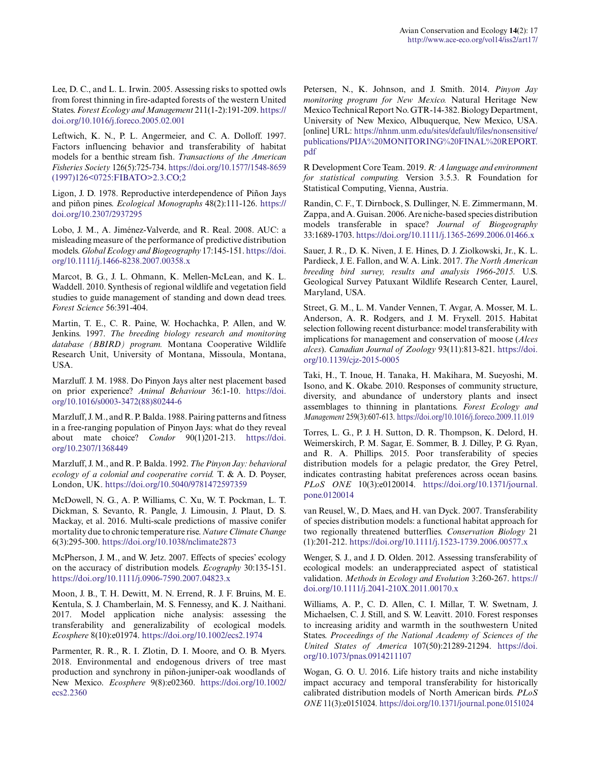Lee, D. C., and L. L. Irwin. 2005. Assessing risks to spotted owls from forest thinning in fire-adapted forests of the western United States. *Forest Ecology and Management* 211(1-2):191-209. [https://](https://doi.org/10.1016/j.foreco.2005.02.001) [doi.org/10.1016/j.foreco.2005.02.001](https://doi.org/10.1016/j.foreco.2005.02.001)

Leftwich, K. N., P. L. Angermeier, and C. A. Dolloff. 1997. Factors influencing behavior and transferability of habitat models for a benthic stream fish. *Transactions of the American Fisheries Society* 126(5):725-734. [https://doi.org/10.1577/1548-8659](https://doi.org/10.1577/1548-8659(1997)126<0725:FIBATO>2.3.CO;2) [\(1997\)126<0725:FIBATO>2.3.CO;2](https://doi.org/10.1577/1548-8659(1997)126<0725:FIBATO>2.3.CO;2) 

Ligon, J. D. 1978. Reproductive interdependence of Piñon Jays and piñon pines. *Ecological Monographs* 48(2):111-126. [https://](https://doi.org/10.2307/2937295) [doi.org/10.2307/2937295](https://doi.org/10.2307/2937295) 

Lobo, J. M., A. Jiménez-Valverde, and R. Real. 2008. AUC: a misleading measure of the performance of predictive distribution models. *Global Ecology and Biogeography* 17:145-151. [https://doi.](https://doi.org/10.1111/j.1466-8238.2007.00358.x) [org/10.1111/j.1466-8238.2007.00358.x](https://doi.org/10.1111/j.1466-8238.2007.00358.x)

Marcot, B. G., J. L. Ohmann, K. Mellen-McLean, and K. L. Waddell. 2010. Synthesis of regional wildlife and vegetation field studies to guide management of standing and down dead trees. *Forest Science* 56:391-404.

Martin, T. E., C. R. Paine, W. Hochachka, P. Allen, and W. Jenkins. 1997. *The breeding biology research and monitoring database (BBIRD) program.* Montana Cooperative Wildlife Research Unit, University of Montana, Missoula, Montana, USA.

Marzluff. J. M. 1988. Do Pinyon Jays alter nest placement based on prior experience? *Animal Behaviour* 36:1-10. [https://doi.](https://doi.org/10.1016/s0003-3472(88)80244-6) [org/10.1016/s0003-3472\(88\)80244-6](https://doi.org/10.1016/s0003-3472(88)80244-6) 

Marzluff, J. M., and R. P. Balda. 1988. Pairing patterns and fitness in a free-ranging population of Pinyon Jays: what do they reveal about mate choice? *Condor* 90(1)201-213. [https://doi.](https://doi.org/10.2307/1368449) [org/10.2307/1368449](https://doi.org/10.2307/1368449) 

Marzluff, J. M., and R. P. Balda. 1992. *The Pinyon Jay: behavioral ecology of a colonial and cooperative corvid.* T. & A. D. Poyser, London, UK.<https://doi.org/10.5040/9781472597359>

McDowell, N. G., A. P. Williams, C. Xu, W. T. Pockman, L. T. Dickman, S. Sevanto, R. Pangle, J. Limousin, J. Plaut, D. S. Mackay, et al. 2016. Multi-scale predictions of massive conifer mortality due to chronic temperature rise. *Nature Climate Change* 6(3):295-300.<https://doi.org/10.1038/nclimate2873>

McPherson, J. M., and W. Jetz. 2007. Effects of species' ecology on the accuracy of distribution models. *Ecography* 30:135-151. <https://doi.org/10.1111/j.0906-7590.2007.04823.x>

Moon, J. B., T. H. Dewitt, M. N. Errend, R. J. F. Bruins, M. E. Kentula, S. J. Chamberlain, M. S. Fennessy, and K. J. Naithani. 2017. Model application niche analysis: assessing the transferability and generalizability of ecological models. *Ecosphere* 8(10):e01974.<https://doi.org/10.1002/ecs2.1974>

Parmenter, R. R., R. I. Zlotin, D. I. Moore, and O. B. Myers. 2018. Environmental and endogenous drivers of tree mast production and synchrony in piñon-juniper-oak woodlands of New Mexico. *Ecosphere* 9(8):e02360. [https://doi.org/10.1002/](https://doi.org/10.1002/ecs2.2360) [ecs2.2360](https://doi.org/10.1002/ecs2.2360)

Petersen, N., K. Johnson, and J. Smith. 2014. *Pinyon Jay monitoring program for New Mexico.* Natural Heritage New Mexico Technical Report No. GTR-14-382. Biology Department, University of New Mexico, Albuquerque, New Mexico, USA. [online] URL: [https://nhnm.unm.edu/sites/default/files/nonsensitive/](https://nhnm.unm.edu/sites/default/files/nonsensitive/publications/PIJA%20MONITORING%20FINAL%20REPORT.pdf) [publications/PIJA%20MONITORING%20FINAL%20REPORT.](https://nhnm.unm.edu/sites/default/files/nonsensitive/publications/PIJA%20MONITORING%20FINAL%20REPORT.pdf) [pdf](https://nhnm.unm.edu/sites/default/files/nonsensitive/publications/PIJA%20MONITORING%20FINAL%20REPORT.pdf)

R Development Core Team. 2019. *R: A language and environment for statistical computing.* Version 3.5.3. R Foundation for Statistical Computing, Vienna, Austria.

Randin, C. F., T. Dirnbock, S. Dullinger, N. E. Zimmermann, M. Zappa, and A. Guisan. 2006. Are niche-based species distribution models transferable in space? *Journal of Biogeography* 33:1689-1703.<https://doi.org/10.1111/j.1365-2699.2006.01466.x>

Sauer, J. R., D. K. Niven, J. E. Hines, D. J. Ziolkowski, Jr., K. L. Pardieck, J. E. Fallon, and W. A. Link. 2017. *The North American breeding bird survey, results and analysis 1966-2015.* U.S. Geological Survey Patuxant Wildlife Research Center, Laurel, Maryland, USA.

Street, G. M., L. M. Vander Vennen, T. Avgar, A. Mosser, M. L. Anderson, A. R. Rodgers, and J. M. Fryxell. 2015. Habitat selection following recent disturbance: model transferability with implications for management and conservation of moose (*Alces alces*). *Canadian Journal of Zoology* 93(11):813-821. [https://doi.](https://doi.org/10.1139/cjz-2015-0005) [org/10.1139/cjz-2015-0005](https://doi.org/10.1139/cjz-2015-0005) 

Taki, H., T. Inoue, H. Tanaka, H. Makihara, M. Sueyoshi, M. Isono, and K. Okabe. 2010. Responses of community structure, diversity, and abundance of understory plants and insect assemblages to thinning in plantations. *Forest Ecology and Management* 259(3):607-613. <https://doi.org/10.1016/j.foreco.2009.11.019>

Torres, L. G., P. J. H. Sutton, D. R. Thompson, K. Delord, H. Weimerskirch, P. M. Sagar, E. Sommer, B. J. Dilley, P. G. Ryan, and R. A. Phillips. 2015. Poor transferability of species distribution models for a pelagic predator, the Grey Petrel, indicates contrasting habitat preferences across ocean basins. *PLoS ONE* 10(3):e0120014. [https://doi.org/10.1371/journal.](https://doi.org/10.1371/journal.pone.0120014) [pone.0120014](https://doi.org/10.1371/journal.pone.0120014)

van Reusel, W., D. Maes, and H. van Dyck. 2007. Transferability of species distribution models: a functional habitat approach for two regionally threatened butterflies. *Conservation Biology* 21 (1):201-212. <https://doi.org/10.1111/j.1523-1739.2006.00577.x>

Wenger, S. J., and J. D. Olden. 2012. Assessing transferability of ecological models: an underappreciated aspect of statistical validation. *Methods in Ecology and Evolution* 3:260-267. [https://](https://doi.org/10.1111/j.2041-210X.2011.00170.x) [doi.org/10.1111/j.2041-210X.2011.00170.x](https://doi.org/10.1111/j.2041-210X.2011.00170.x) 

Williams, A. P., C. D. Allen, C. I. Millar, T. W. Swetnam, J. Michaelsen, C. J. Still, and S. W. Leavitt. 2010. Forest responses to increasing aridity and warmth in the southwestern United States. *Proceedings of the National Academy of Sciences of the United States of America* 107(50):21289-21294. [https://doi.](https://doi.org/10.1073/pnas.0914211107) [org/10.1073/pnas.0914211107](https://doi.org/10.1073/pnas.0914211107) 

Wogan, G. O. U. 2016. Life history traits and niche instability impact accuracy and temporal transferability for historically calibrated distribution models of North American birds. *PLoS ONE* 11(3):e0151024. <https://doi.org/10.1371/journal.pone.0151024>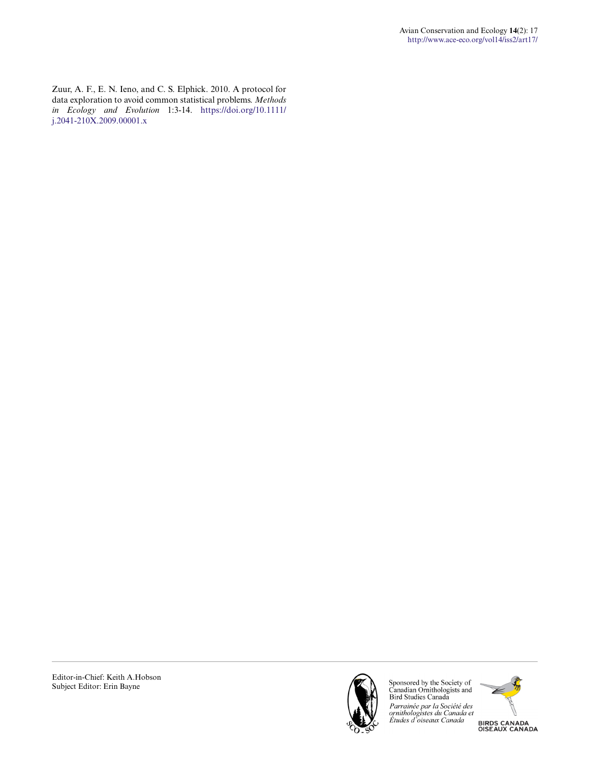Zuur, A. F., E. N. Ieno, and C. S. Elphick. 2010. A protocol for data exploration to avoid common statistical problems. *Methods in Ecology and Evolution* 1:3-14. [https://doi.org/10.1111/](https://doi.org/10.1111/j.2041-210X.2009.00001.x) [j.2041-210X.2009.00001.x](https://doi.org/10.1111/j.2041-210X.2009.00001.x)



Sponsored by the Society of<br>Canadian Ornithologists and<br>Bird Studies Canada Parrainée par la Société des<br>ornithologistes du Canada et<br>Études d'oiseaux Canada



**BIRDS CANADA<br>OISEAUX CANADA**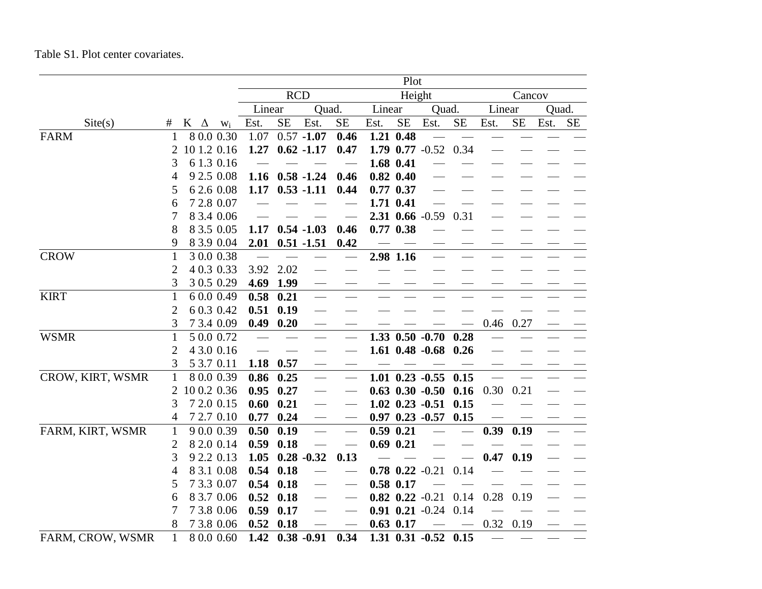## Table S1. Plot center covariates.

|                  |                |            |             |                                                            |           |                                           |                                           |      | Plot          |                       |          |        |           |       |           |
|------------------|----------------|------------|-------------|------------------------------------------------------------|-----------|-------------------------------------------|-------------------------------------------|------|---------------|-----------------------|----------|--------|-----------|-------|-----------|
|                  |                |            |             | <b>RCD</b><br>Height<br>Linear<br>Linear<br>Quad.<br>Quad. |           |                                           |                                           |      |               |                       |          | Cancov |           |       |           |
|                  |                |            |             |                                                            |           |                                           |                                           |      |               |                       |          | Linear |           | Quad. |           |
| $\text{Site}(s)$ | #              | $K \Delta$ | $W_i$       | Est.                                                       | <b>SE</b> | Est.                                      | <b>SE</b>                                 | Est. | <b>SE</b>     | Est.                  | $\rm SE$ | Est.   | <b>SE</b> | Est.  | <b>SE</b> |
| <b>FARM</b>      | 1              |            | 8 0.0 0.30  | 1.07                                                       |           | $0.57 - 1.07$                             | 0.46                                      |      | 1.21 0.48     |                       |          |        |           |       |           |
|                  | 2              |            | 10 1.2 0.16 | 1.27                                                       |           | $0.62 - 1.17$                             | 0.47                                      |      |               | 1.79 0.77 -0.52 0.34  |          |        |           |       |           |
|                  | 3              |            | 6 1.3 0.16  |                                                            |           |                                           |                                           |      | 1.68 0.41     |                       |          |        |           |       |           |
|                  | 4              |            | 9 2.5 0.08  | 1.16                                                       |           | $0.58 - 1.24$                             | 0.46                                      |      | $0.82$ $0.40$ |                       |          |        |           |       |           |
|                  | 5              |            | 6 2.6 0.08  | 1.17                                                       |           | $0.53 - 1.11$                             | 0.44                                      |      | $0.77$ 0.37   |                       |          |        |           |       |           |
|                  | 6              |            | 7 2.8 0.07  |                                                            |           |                                           |                                           |      | 1.71 0.41     |                       |          |        |           |       |           |
|                  | 7              |            | 8 3.4 0.06  |                                                            |           |                                           |                                           |      |               | 2.31 0.66 -0.59       | 0.31     |        |           |       |           |
|                  | 8              |            | 8 3.5 0.05  | 1.17                                                       |           | $0.54 - 1.03$                             | 0.46                                      |      | $0.77$ $0.38$ |                       |          |        |           |       |           |
|                  | 9              |            | 8 3.9 0.04  | 2.01                                                       |           | $0.51 - 1.51$                             | 0.42                                      |      |               |                       |          |        |           |       |           |
| <b>CROW</b>      | $\mathbf{1}$   |            | 30.00.38    |                                                            |           |                                           |                                           |      | 2.98 1.16     |                       |          |        |           |       |           |
|                  | $\overline{2}$ |            | 4 0.3 0.33  | 3.92                                                       | 2.02      |                                           |                                           |      |               |                       |          |        |           |       |           |
|                  | 3              |            | 3 0.5 0.29  | 4.69                                                       | 1.99      |                                           |                                           |      |               |                       |          |        |           |       |           |
| <b>KIRT</b>      | $\mathbf{1}$   |            | 6 0.0 0.49  | 0.58                                                       | 0.21      | $\overline{\phantom{a}}$                  |                                           |      |               |                       |          |        |           |       |           |
|                  | $\overline{2}$ |            | 6 0.3 0.42  | 0.51                                                       | 0.19      |                                           |                                           |      |               |                       |          |        |           |       |           |
|                  | 3              |            | 7 3.4 0.09  | 0.49                                                       | 0.20      | $\sim$                                    |                                           |      |               |                       |          | 0.46   | 0.27      |       |           |
| <b>WSMR</b>      | $\mathbf{1}$   |            | 5 0.0 0.72  |                                                            |           | $\overline{\phantom{0}}$                  |                                           |      |               | $1.33$ 0.50 -0.70     | 0.28     |        |           |       |           |
|                  | $\overline{2}$ |            | 4 3.0 0.16  |                                                            |           |                                           |                                           |      |               | $1.61$ 0.48 $-0.68$   | 0.26     |        |           |       |           |
|                  | 3              |            | 5 3.7 0.11  | 1.18                                                       | 0.57      | $\overbrace{\qquad \qquad }^{ }$          | $\frac{1}{2}$                             |      |               |                       |          |        |           |       |           |
| CROW, KIRT, WSMR | $\mathbf{1}$   |            | 8 0.0 0.39  | 0.86                                                       | 0.25      | $\frac{1}{1}$                             | $\overline{\phantom{0}}$                  |      |               | $1.01$ 0.23 $-0.55$   | 0.15     |        |           |       |           |
|                  | 2              |            | 10 0.2 0.36 | 0.95                                                       | 0.27      | $\overline{\phantom{0}}$                  |                                           |      |               | $0.63$ $0.30$ $-0.50$ | 0.16     | 0.30   | 0.21      |       |           |
|                  | 3              |            | 7 2.0 0.15  | 0.60                                                       | 0.21      | $\frac{1}{2}$                             |                                           |      |               | $1.02$ 0.23 -0.51     | 0.15     |        |           |       |           |
|                  | 4              |            | 7 2.7 0.10  | 0.77                                                       | 0.24      |                                           |                                           |      |               | $0.97$ $0.23$ $-0.57$ | 0.15     |        |           |       |           |
| FARM, KIRT, WSMR | $\mathbf{1}$   |            | 9 0.0 0.39  | 0.50                                                       | 0.19      |                                           |                                           |      | $0.59$ $0.21$ |                       |          | 0.39   | 0.19      |       |           |
|                  | 2              |            | 8 2.0 0.14  | 0.59                                                       | 0.18      |                                           |                                           |      | $0.69$ $0.21$ |                       |          |        |           |       |           |
|                  | 3              |            | 9 2.2 0.13  | 1.05                                                       |           | $0.28 - 0.32$                             | 0.13                                      |      |               |                       |          | 0.47   | 0.19      |       |           |
|                  | 4              |            | 8 3.1 0.08  | 0.54                                                       | 0.18      |                                           |                                           |      |               | $0.78$ $0.22$ $-0.21$ | 0.14     |        |           |       |           |
|                  | 5              |            | 7 3.3 0.07  | 0.54                                                       | 0.18      |                                           | $\qquad \qquad$                           |      | $0.58$ 0.17   |                       |          |        |           |       |           |
|                  | 6              |            | 8 3.7 0.06  | 0.52                                                       | 0.18      | $\qquad \qquad \overline{\qquad \qquad }$ | $\qquad \qquad \overline{\qquad \qquad }$ |      |               | $0.82$ $0.22$ $-0.21$ | 0.14     | 0.28   | 0.19      |       |           |
|                  | 7              |            | 7 3.8 0.06  | 0.59                                                       | 0.17      |                                           |                                           |      |               | $0.91$ $0.21$ $-0.24$ | 0.14     |        |           |       |           |
|                  | 8              |            | 7 3.8 0.06  | 0.52                                                       | 0.18      |                                           |                                           |      | $0.63$ 0.17   |                       |          |        | 0.32 0.19 |       |           |
| FARM, CROW, WSMR | $\mathbf{1}$   |            | 8 0.0 0.60  | 1.42                                                       |           | $0.38 - 0.91$                             | 0.34                                      |      |               | $1.31$ 0.31 $-0.52$   | 0.15     |        |           |       |           |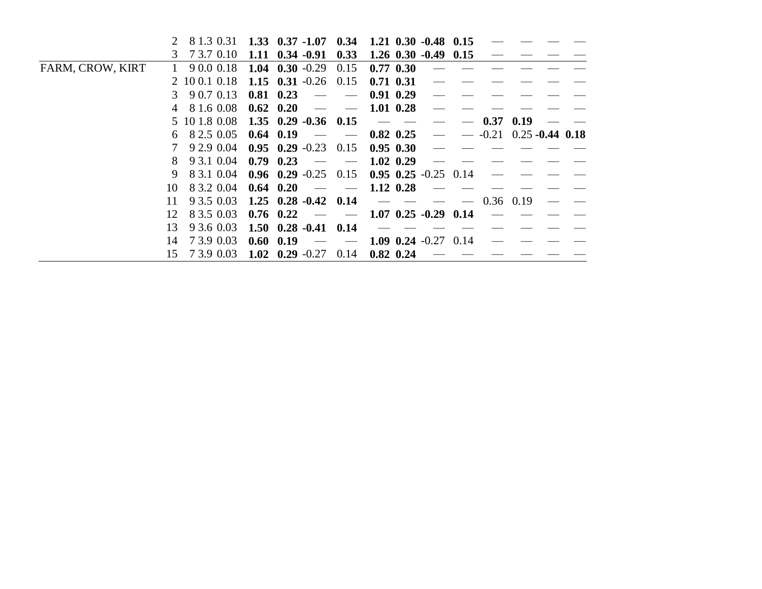|                  |                                                     | 8 1.3 0.31 1.33 0.37 -1.07 0.34 1.21 0.30 -0.48 0.15 |                          |                                                                                                                                                                                                                                                                                                                                                                                                                                                |                              |                           |  |  |
|------------------|-----------------------------------------------------|------------------------------------------------------|--------------------------|------------------------------------------------------------------------------------------------------------------------------------------------------------------------------------------------------------------------------------------------------------------------------------------------------------------------------------------------------------------------------------------------------------------------------------------------|------------------------------|---------------------------|--|--|
|                  | 3 7 3.7 0.10                                        | $1.11 \quad 0.34 \quad -0.91$                        | 0.33                     |                                                                                                                                                                                                                                                                                                                                                                                                                                                | $1.26$ 0.30 -0.49 0.15       |                           |  |  |
| FARM, CROW, KIRT | 9 0.0 0.18                                          | 1.04 0.30 $-0.29$                                    | 0.15                     | $0.77$ 0.30                                                                                                                                                                                                                                                                                                                                                                                                                                    |                              |                           |  |  |
|                  | 2 10 0.1 0.18                                       | 1.15 $0.31 - 0.26$ 0.15                              |                          | $0.71$ $0.31$                                                                                                                                                                                                                                                                                                                                                                                                                                  |                              |                           |  |  |
|                  | $3\quad 90.70.13$                                   | $0.81$ $0.23$                                        |                          | $0.91\;\;0.29$                                                                                                                                                                                                                                                                                                                                                                                                                                 |                              |                           |  |  |
|                  | 4 8 1.6 0.08                                        | $0.62 \quad 0.20$                                    |                          | $1.01$ 0.28                                                                                                                                                                                                                                                                                                                                                                                                                                    |                              |                           |  |  |
|                  | $5\ 10\ 1.8\ 0.08\quad 1.35\ 0.29\ -0.36\quad 0.15$ |                                                      |                          | $\frac{1}{2} \left( \frac{1}{2} \right) = \frac{1}{2} \left( \frac{1}{2} \right) = \frac{1}{2} \left( \frac{1}{2} \right) = \frac{1}{2} \left( \frac{1}{2} \right) = \frac{1}{2} \left( \frac{1}{2} \right) = \frac{1}{2} \left( \frac{1}{2} \right) = \frac{1}{2} \left( \frac{1}{2} \right) = \frac{1}{2} \left( \frac{1}{2} \right) = \frac{1}{2} \left( \frac{1}{2} \right) = \frac{1}{2} \left( \frac{1}{2} \right) = \frac{1}{2} \left($ |                              | $0.37 \quad 0.19$         |  |  |
| 6                | 8 2.5 0.05                                          | $0.64$ 0.19                                          | $\frac{1}{2}$            | $0.82$ 0.25                                                                                                                                                                                                                                                                                                                                                                                                                                    |                              | $-0.21$ 0.25 $-0.44$ 0.18 |  |  |
|                  | 9 2.9 0.04                                          | $0.95$ $0.29$ $-0.23$ $0.15$                         |                          | $0.95$ $0.30$                                                                                                                                                                                                                                                                                                                                                                                                                                  |                              |                           |  |  |
|                  | 9 3.1 0.04<br>8                                     | $0.79$ $0.23$                                        |                          | $1.02 \;\; 0.29$                                                                                                                                                                                                                                                                                                                                                                                                                               |                              |                           |  |  |
|                  | 8 3 1 0 0 4<br>9.                                   | $0.96$ $0.29$ $-0.25$ $0.15$                         |                          |                                                                                                                                                                                                                                                                                                                                                                                                                                                | $0.95$ $0.25$ $-0.25$ $0.14$ |                           |  |  |
| 10               | 8 3.2 0.04                                          | $0.64 \quad 0.20$                                    |                          | $1.12 \t0.28$                                                                                                                                                                                                                                                                                                                                                                                                                                  |                              |                           |  |  |
| 11               | 9 3.5 0.03                                          | $1.25 \quad 0.28 \quad -0.42 \quad 0.14$             |                          | $\hspace{0.05cm}$                                                                                                                                                                                                                                                                                                                                                                                                                              |                              | $0.36$ 0.19               |  |  |
| 12               | 8 3.5 0.03                                          | $0.76 \quad 0.22$                                    | $\overline{\phantom{a}}$ |                                                                                                                                                                                                                                                                                                                                                                                                                                                | $1.07$ 0.25 -0.29 0.14       |                           |  |  |
| 13               | 9 3.6 0.03                                          | $1.50 \t0.28 \t-0.41 \t0.14$                         |                          |                                                                                                                                                                                                                                                                                                                                                                                                                                                |                              |                           |  |  |
| 14               | 7 3.9 0.03                                          | $0.60 \quad 0.19$                                    | $\overline{\phantom{a}}$ |                                                                                                                                                                                                                                                                                                                                                                                                                                                | 1.09 0.24 $-0.27$ 0.14       |                           |  |  |
| 15               | 7 3.9 0.03                                          | 1.02 $0.29 -0.27$                                    | 0.14                     | $0.82$ 0.24                                                                                                                                                                                                                                                                                                                                                                                                                                    |                              |                           |  |  |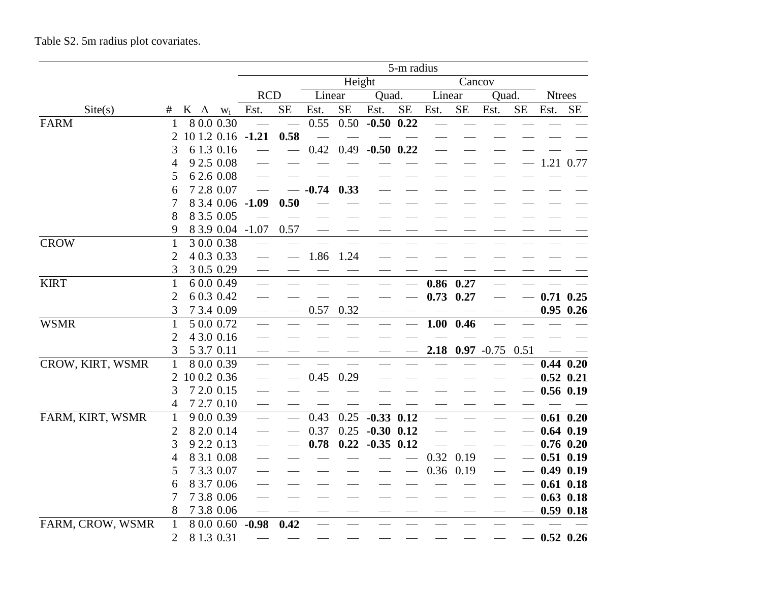|                  |                |             |            |                   |           |         |           |                | 5-m radius |        |             |               |           |               |               |
|------------------|----------------|-------------|------------|-------------------|-----------|---------|-----------|----------------|------------|--------|-------------|---------------|-----------|---------------|---------------|
|                  |                |             |            |                   |           |         | Height    |                |            |        | Cancov      |               |           |               |               |
|                  |                |             |            | <b>RCD</b>        |           | Linear  |           | Quad.          |            | Linear |             | Quad.         |           | <b>Ntrees</b> |               |
| Site(s)          | #              | K $\Delta$  | $W_i$      | Est.              | <b>SE</b> | Est.    | <b>SE</b> | Est.           | <b>SE</b>  | Est.   | <b>SE</b>   | Est.          | <b>SE</b> | Est.          | <b>SE</b>     |
| <b>FARM</b>      |                |             | 8 0.0 0.30 |                   |           | 0.55    | 0.50      | $-0.50$ 0.22   |            |        |             |               |           |               |               |
|                  | 2              |             |            | 10 1.2 0.16 -1.21 | 0.58      |         |           |                |            |        |             |               |           |               |               |
|                  | 3              |             | 6 1.3 0.16 |                   |           | 0.42    | 0.49      | $-0.50$ 0.22   |            |        |             |               |           |               |               |
|                  | 4              |             | 9 2.5 0.08 |                   |           |         |           |                |            |        |             |               |           |               | 1.21 0.77     |
|                  | 5              |             | 6 2.6 0.08 |                   |           |         |           |                |            |        |             |               |           |               |               |
|                  | 6              |             | 7 2.8 0.07 |                   |           | $-0.74$ | 0.33      |                |            |        |             |               |           |               |               |
|                  | 7              |             | 8 3.4 0.06 | $-1.09$           | 0.50      |         |           |                |            |        |             |               |           |               |               |
|                  | 8              |             | 8 3.5 0.05 |                   |           |         |           |                |            |        |             |               |           |               |               |
|                  | 9              |             | 8 3.9 0.04 | $-1.07$           | 0.57      |         |           |                |            |        |             |               |           |               |               |
| <b>CROW</b>      | $\mathbf{1}$   |             | 3 0.0 0.38 |                   |           |         |           |                |            |        |             |               |           |               |               |
|                  | $\overline{2}$ |             | 4 0.3 0.33 |                   |           | 1.86    | 1.24      |                |            |        |             |               |           |               |               |
|                  | 3              |             | 3 0.5 0.29 |                   |           |         |           |                |            |        |             |               |           |               |               |
| <b>KIRT</b>      | $\mathbf{1}$   |             | 6 0.0 0.49 |                   |           |         |           |                |            | 0.86   | 0.27        |               |           |               |               |
|                  | $\overline{2}$ |             | 6 0.3 0.42 |                   |           |         |           |                |            | 0.73   | 0.27        |               |           |               | $0.71$ $0.25$ |
|                  | 3              |             | 7 3.4 0.09 |                   |           | 0.57    | 0.32      |                |            |        |             |               |           |               | $0.95$ 0.26   |
| <b>WSMR</b>      | $\mathbf{1}$   |             | 5 0.0 0.72 |                   |           |         |           |                |            |        | $1.00$ 0.46 |               |           |               |               |
|                  | 2              |             | 4 3.0 0.16 |                   |           |         |           |                |            |        |             |               |           |               |               |
|                  | 3              |             | 5 3.7 0.11 |                   |           |         |           |                |            | 2.18   |             | $0.97 - 0.75$ | 0.51      |               |               |
| CROW, KIRT, WSMR | $\mathbf{1}$   |             | 80.00.39   |                   |           |         |           |                |            |        |             |               |           |               | $0.44$ $0.20$ |
|                  | 2              | 10 0.2 0.36 |            |                   |           | 0.45    | 0.29      |                |            |        |             |               |           |               | $0.52$ $0.21$ |
|                  | 3              |             | 7 2.0 0.15 |                   |           |         |           |                |            |        |             |               |           |               | $0.56$ $0.19$ |
|                  | 4              |             | 7 2.7 0.10 |                   |           |         |           |                |            |        |             |               |           |               |               |
| FARM, KIRT, WSMR | $\mathbf{1}$   |             | 9 0.0 0.39 |                   |           | 0.43    | 0.25      | $-0.33$ $0.12$ |            |        |             |               |           |               | $0.61$ $0.20$ |
|                  | $\overline{2}$ |             | 8 2.0 0.14 |                   |           | 0.37    | 0.25      | $-0.30$ $0.12$ |            |        |             |               |           |               | $0.64$ $0.19$ |
|                  | 3              |             | 9 2.2 0.13 |                   |           | 0.78    | 0.22      | $-0.35$ 0.12   |            |        |             |               |           |               | $0.76$ 0.20   |
|                  | 4              |             | 8 3.1 0.08 |                   |           |         |           |                |            | 0.32   | 0.19        |               |           |               | $0.51$ $0.19$ |
|                  | 5              |             | 7 3.3 0.07 |                   |           |         |           |                |            | 0.36   | 0.19        |               |           |               | $0.49$ $0.19$ |
|                  | 6              |             | 8 3.7 0.06 |                   |           |         |           |                |            |        |             |               |           |               | $0.61$ $0.18$ |
|                  | 7              |             | 7 3.8 0.06 |                   |           |         |           |                |            |        |             |               |           |               | $0.63$ 0.18   |
|                  | 8              |             | 7 3.8 0.06 |                   |           |         |           |                |            |        |             |               |           |               | $0.59$ $0.18$ |
| FARM, CROW, WSMR | $\mathbf{1}$   |             | 8 0.0 0.60 | $-0.98$           | 0.42      |         |           |                |            |        |             |               |           |               |               |
|                  | $\overline{2}$ |             | 8 1.3 0.31 |                   |           |         |           |                |            |        |             |               |           |               | $0.52$ 0.26   |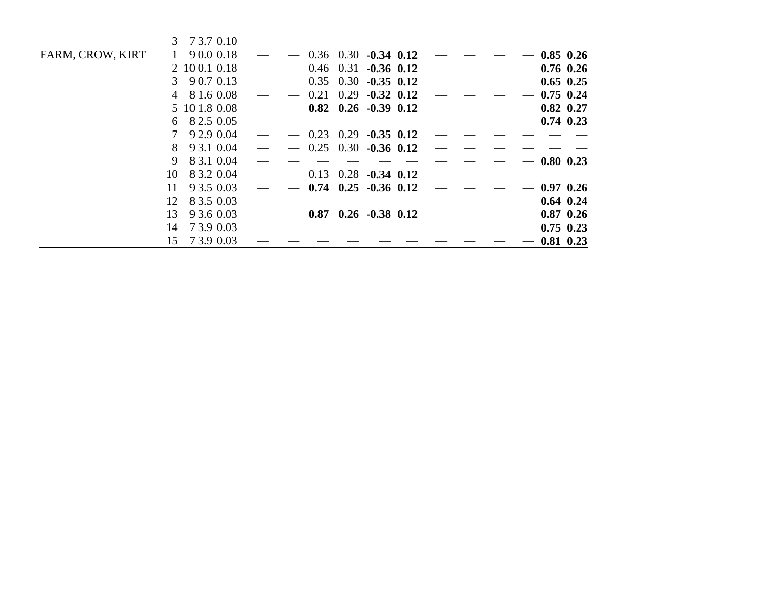|                  | 3 <sup>1</sup> | 7 3.7 0.10    |  |      |             |                                          |                   |  |                   |              |               |
|------------------|----------------|---------------|--|------|-------------|------------------------------------------|-------------------|--|-------------------|--------------|---------------|
| FARM, CROW, KIRT |                | 9 0.0 0.18    |  |      | $0.36$ 0.30 | $-0.34$ 0.12                             |                   |  |                   |              | $-0.85$ 0.26  |
|                  |                | 2 10 0.1 0.18 |  |      | $0.46$ 0.31 | $-0.36$ 0.12                             |                   |  |                   | $-0.76$ 0.26 |               |
|                  | 3              | 9 0.7 0.13    |  | 0.35 | 0.30        | $-0.35$ 0.12                             |                   |  |                   | $0.65$ 0.25  |               |
|                  | 4              | 8 1.6 0.08    |  | 0.21 | 0.29        | $-0.32$ 0.12                             |                   |  |                   |              | $0.75$ 0.24   |
|                  |                | 5 10 1.8 0.08 |  |      |             | $0.82 \quad 0.26 \quad -0.39 \quad 0.12$ |                   |  |                   |              | $0.82$ 0.27   |
|                  | 6              | 8 2.5 0.05    |  |      |             |                                          |                   |  | $\hspace{0.05cm}$ |              | $0.74$ 0.23   |
|                  | 7              | 9 2.9 0.04    |  | 0.23 | 0.29        | $-0.35$ 0.12                             |                   |  |                   |              |               |
|                  | 8              | 9 3.1 0.04    |  |      |             | $0.25$ $0.30$ $-0.36$ $0.12$             |                   |  |                   |              |               |
|                  | 9              | 8 3.1 0.04    |  |      |             |                                          |                   |  |                   |              | $0.80$ 0.23   |
|                  | 10             | 8 3.2 0.04    |  | 0.13 |             |                                          | $0.28$ -0.34 0.12 |  |                   |              |               |
|                  | 11<br>12       | 9 3.5 0.03    |  |      |             | $0.74$ $0.25$ $-0.36$ $0.12$             |                   |  |                   |              | $0.97$ 0.26   |
|                  |                | 8 3.5 0.03    |  |      |             |                                          |                   |  |                   |              | $0.64$ 0.24   |
|                  | 13             | 9 3.6 0.03    |  | 0.87 |             | $0.26 - 0.38 0.12$                       |                   |  |                   |              | $0.87$ $0.26$ |
|                  | 14             | 7 3.9 0.03    |  |      |             |                                          |                   |  |                   |              | $0.75$ 0.23   |
|                  | 15             | 7 3.9 0.03    |  |      |             |                                          |                   |  |                   |              | $0.81$ 0.23   |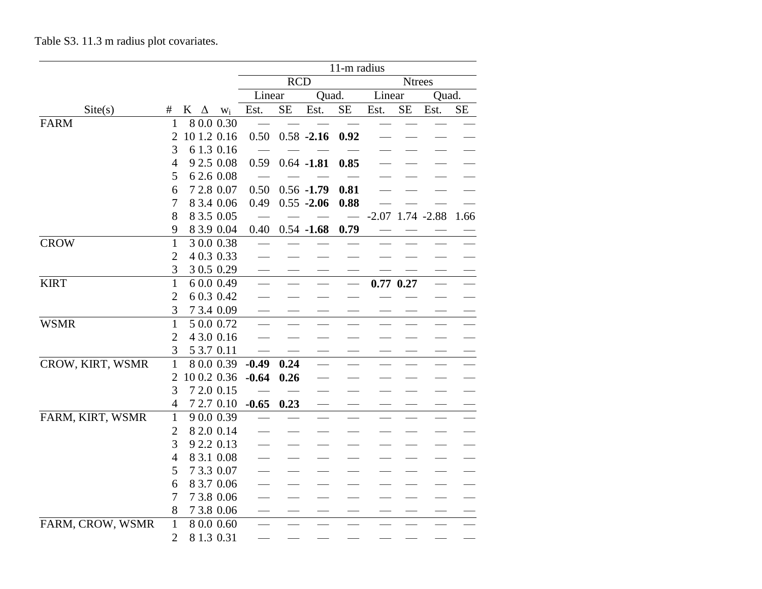|  |  |  |  | Table S3. 11.3 m radius plot covariates. |
|--|--|--|--|------------------------------------------|
|--|--|--|--|------------------------------------------|

|                  |                     |                          |         |            |               | 11-m radius |        |               |                      |          |
|------------------|---------------------|--------------------------|---------|------------|---------------|-------------|--------|---------------|----------------------|----------|
|                  |                     |                          |         | <b>RCD</b> |               |             |        | <b>Ntrees</b> |                      |          |
|                  |                     |                          | Linear  |            | Quad.         |             | Linear |               | Quad.                |          |
| Site(s)          | #                   | $K \Delta$<br>$W_i$      | Est.    | <b>SE</b>  | Est.          | $\rm SE$    | Est.   | SE            | Est.                 | $\rm SE$ |
| <b>FARM</b>      | 1                   | 8 0.0 0.30               |         |            |               |             |        |               |                      |          |
|                  | 2                   | 10 1.2 0.16              | 0.50    |            | $0.58 - 2.16$ | 0.92        |        |               |                      |          |
|                  | 3                   | 61.30.16                 |         |            |               |             |        |               |                      |          |
|                  | $\overline{4}$      | 9 2.5 0.08               | 0.59    |            | $0.64 - 1.81$ | 0.85        |        |               |                      |          |
|                  | 5                   | 6 2.6 0.08               |         |            |               |             |        |               |                      |          |
|                  | 6                   | 7 2.8 0.07               | 0.50    |            | $0.56 - 1.79$ | 0.81        |        |               |                      |          |
|                  | 7                   | 8 3.4 0.06               | 0.49    |            | $0.55 - 2.06$ | 0.88        |        |               |                      |          |
|                  | 8                   | 8 3.5 0.05               |         |            |               |             |        |               | $-2.07$ 1.74 $-2.88$ | 1.66     |
|                  | 9                   | 8 3.9 0.04               | 0.40    |            | $0.54 - 1.68$ | 0.79        |        |               |                      |          |
| <b>CROW</b>      | $\mathbf{1}$        | 3 0.0 0.38               |         |            |               |             |        |               |                      |          |
|                  | $\overline{2}$      | 4 0.3 0.33               |         |            |               |             |        |               |                      |          |
|                  | 3                   | 3 0.5 0.29               |         |            |               |             |        |               |                      |          |
| <b>KIRT</b>      | $\mathbf{1}$        | 6 0.0 0.49               |         |            |               |             |        | $0.77$ $0.27$ |                      |          |
|                  | $\overline{2}$      | 6 0.3 0.42               |         |            |               |             |        |               |                      |          |
|                  | 3                   | 7 3.4 0.09               |         |            |               |             |        |               |                      |          |
| <b>WSMR</b>      | $\mathbf{1}$        | 5 0.0 0.72               |         |            |               |             |        |               |                      |          |
|                  | $\overline{2}$      | 4 3.0 0.16               |         |            |               |             |        |               |                      |          |
|                  | 3                   | 5 3.7 0.11               |         |            |               |             |        |               |                      |          |
| CROW, KIRT, WSMR | 1                   | 8 0.0 0.39               | $-0.49$ | 0.24       |               |             |        |               |                      |          |
|                  | 2                   | 10 0.2 0.36              | $-0.64$ | 0.26       |               |             |        |               |                      |          |
|                  | 3                   | 7 2.0 0.15               |         |            |               |             |        |               |                      |          |
|                  | 4                   | 7 2.7 0.10               | $-0.65$ | 0.23       |               |             |        |               |                      |          |
| FARM, KIRT, WSMR | $\mathbf{1}$        | 9 0.0 0.39               |         |            |               |             |        |               |                      |          |
|                  | $\overline{2}$<br>3 | 8 2.0 0.14               |         |            |               |             |        |               |                      |          |
|                  | $\overline{4}$      | 9 2.2 0.13<br>8 3.1 0.08 |         |            |               |             |        |               |                      |          |
|                  |                     | 7 3.3 0.07               |         |            |               |             |        |               |                      |          |
|                  | 5<br>6              | 8 3.7 0.06               |         |            |               |             |        |               |                      |          |
|                  | 7                   | 7 3.8 0.06               |         |            |               |             |        |               |                      |          |
|                  | $8\,$               | 7 3.8 0.06               |         |            |               |             |        |               |                      |          |
| FARM, CROW, WSMR | $\mathbf{1}$        | 8 0.0 0.60               |         |            |               |             |        |               |                      |          |
|                  | $\overline{2}$      | 8 1.3 0.31               |         |            |               |             |        |               |                      |          |
|                  |                     |                          |         |            |               |             |        |               |                      |          |